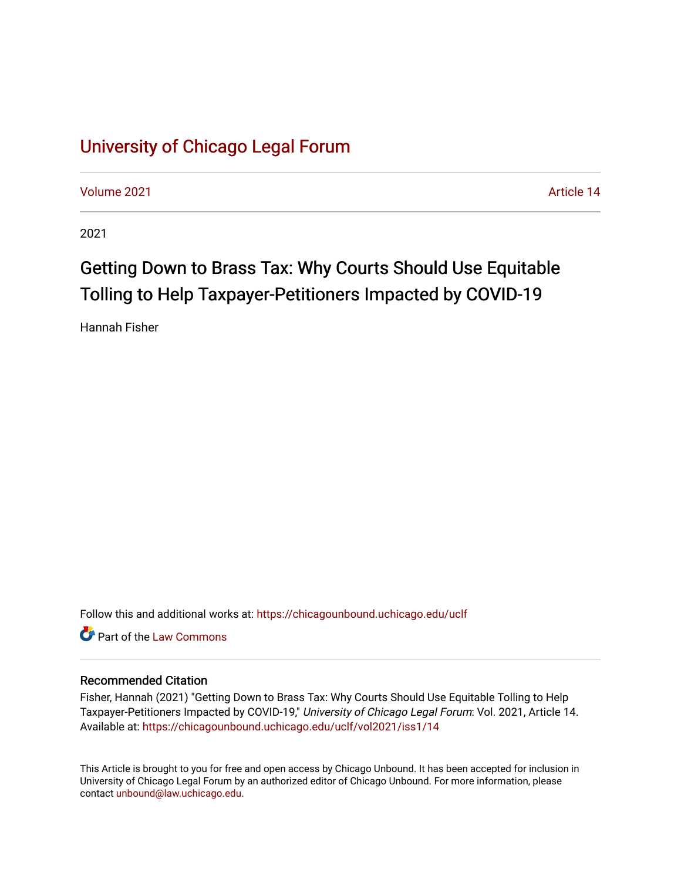# [University of Chicago Legal Forum](https://chicagounbound.uchicago.edu/uclf)

[Volume 2021](https://chicagounbound.uchicago.edu/uclf/vol2021) [Article 14](https://chicagounbound.uchicago.edu/uclf/vol2021/iss1/14) 

2021

# Getting Down to Brass Tax: Why Courts Should Use Equitable Tolling to Help Taxpayer-Petitioners Impacted by COVID-19

Hannah Fisher

Follow this and additional works at: [https://chicagounbound.uchicago.edu/uclf](https://chicagounbound.uchicago.edu/uclf?utm_source=chicagounbound.uchicago.edu%2Fuclf%2Fvol2021%2Fiss1%2F14&utm_medium=PDF&utm_campaign=PDFCoverPages) 

**C** Part of the [Law Commons](https://network.bepress.com/hgg/discipline/578?utm_source=chicagounbound.uchicago.edu%2Fuclf%2Fvol2021%2Fiss1%2F14&utm_medium=PDF&utm_campaign=PDFCoverPages)

# Recommended Citation

Fisher, Hannah (2021) "Getting Down to Brass Tax: Why Courts Should Use Equitable Tolling to Help Taxpayer-Petitioners Impacted by COVID-19," University of Chicago Legal Forum: Vol. 2021, Article 14. Available at: [https://chicagounbound.uchicago.edu/uclf/vol2021/iss1/14](https://chicagounbound.uchicago.edu/uclf/vol2021/iss1/14?utm_source=chicagounbound.uchicago.edu%2Fuclf%2Fvol2021%2Fiss1%2F14&utm_medium=PDF&utm_campaign=PDFCoverPages)

This Article is brought to you for free and open access by Chicago Unbound. It has been accepted for inclusion in University of Chicago Legal Forum by an authorized editor of Chicago Unbound. For more information, please contact [unbound@law.uchicago.edu](mailto:unbound@law.uchicago.edu).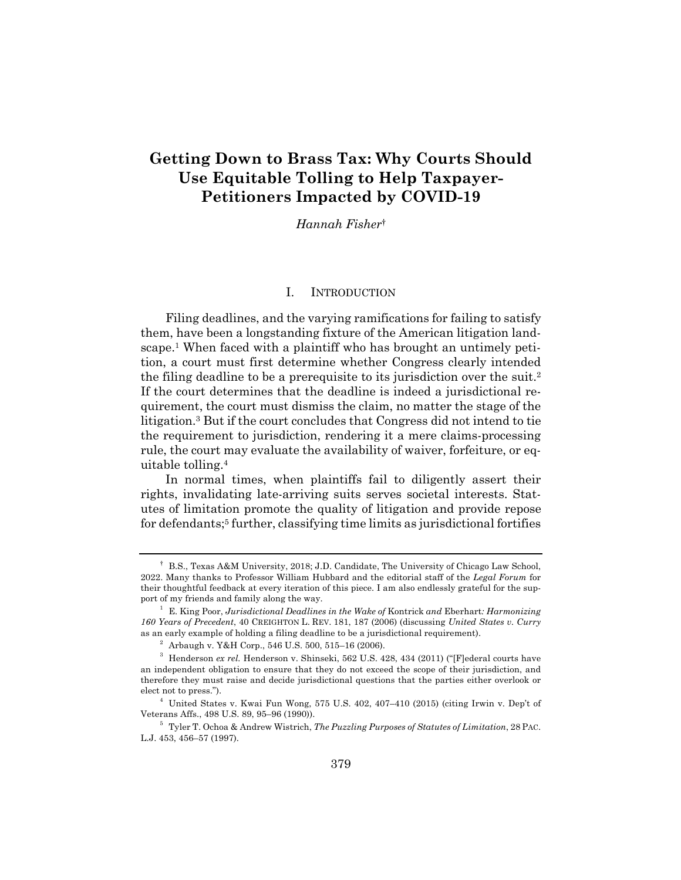# **Getting Down to Brass Tax: Why Courts Should Use Equitable Tolling to Help Taxpayer-Petitioners Impacted by COVID-19**

*Hannah Fisher*†

#### I. INTRODUCTION

Filing deadlines, and the varying ramifications for failing to satisfy them, have been a longstanding fixture of the American litigation landscape.1 When faced with a plaintiff who has brought an untimely petition, a court must first determine whether Congress clearly intended the filing deadline to be a prerequisite to its jurisdiction over the suit.2 If the court determines that the deadline is indeed a jurisdictional requirement, the court must dismiss the claim, no matter the stage of the litigation.3 But if the court concludes that Congress did not intend to tie the requirement to jurisdiction, rendering it a mere claims-processing rule, the court may evaluate the availability of waiver, forfeiture, or equitable tolling.4

In normal times, when plaintiffs fail to diligently assert their rights, invalidating late-arriving suits serves societal interests. Statutes of limitation promote the quality of litigation and provide repose for defendants;5 further, classifying time limits as jurisdictional fortifies

<sup>†</sup> B.S., Texas A&M University, 2018; J.D. Candidate, The University of Chicago Law School, 2022. Many thanks to Professor William Hubbard and the editorial staff of the *Legal Forum* for their thoughtful feedback at every iteration of this piece. I am also endlessly grateful for the support of my friends and family along the way.

<sup>1</sup> E. King Poor, *Jurisdictional Deadlines in the Wake of* Kontrick *and* Eberhart*: Harmonizing 160 Years of Precedent*, 40 CREIGHTON L. REV. 181, 187 (2006) (discussing *United States v. Curry* as an early example of holding a filing deadline to be a jurisdictional requirement).

 $^{\rm 2}$  Arbaugh v. Y&H Corp., 546 U.S. 500, 515–16 (2006).

<sup>3</sup> Henderson *ex rel.* Henderson v. Shinseki, 562 U.S. 428, 434 (2011) ("[F]ederal courts have an independent obligation to ensure that they do not exceed the scope of their jurisdiction, and therefore they must raise and decide jurisdictional questions that the parties either overlook or elect not to press.").

 $4$  United States v. Kwai Fun Wong, 575 U.S. 402, 407-410 (2015) (citing Irwin v. Dep't of Veterans Affs., 498 U.S. 89, 95–96 (1990)).

<sup>5</sup> Tyler T. Ochoa & Andrew Wistrich, *The Puzzling Purposes of Statutes of Limitation*, 28 PAC. L.J. 453, 456–57 (1997).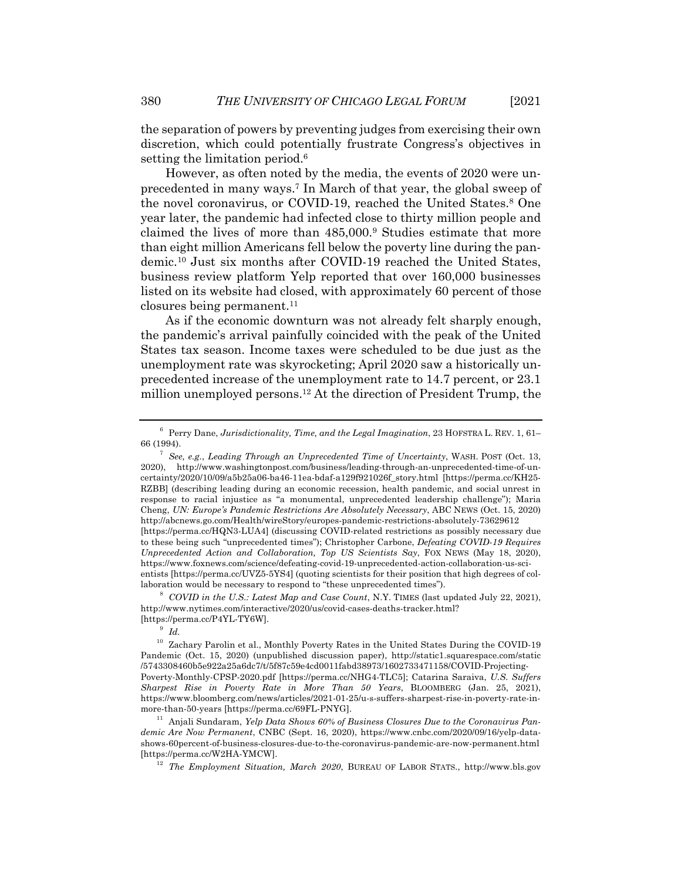the separation of powers by preventing judges from exercising their own discretion, which could potentially frustrate Congress's objectives in setting the limitation period.<sup>6</sup>

However, as often noted by the media, the events of 2020 were unprecedented in many ways.7 In March of that year, the global sweep of the novel coronavirus, or COVID-19, reached the United States.<sup>8</sup> One year later, the pandemic had infected close to thirty million people and claimed the lives of more than 485,000.<sup>9</sup> Studies estimate that more than eight million Americans fell below the poverty line during the pandemic.10 Just six months after COVID-19 reached the United States, business review platform Yelp reported that over 160,000 businesses listed on its website had closed, with approximately 60 percent of those closures being permanent.<sup>11</sup>

As if the economic downturn was not already felt sharply enough, the pandemic's arrival painfully coincided with the peak of the United States tax season. Income taxes were scheduled to be due just as the unemployment rate was skyrocketing; April 2020 saw a historically unprecedented increase of the unemployment rate to 14.7 percent, or 23.1 million unemployed persons.12 At the direction of President Trump, the

<sup>8</sup> *COVID in the U.S.: Latest Map and Case Count*, N.Y. TIMES (last updated July 22, 2021), http://www.nytimes.com/interactive/2020/us/covid-cases-deaths-tracker.html? [https://perma.cc/P4YL-TY6W].

<sup>9</sup> *Id.*

<sup>6</sup> Perry Dane, *Jurisdictionality, Time, and the Legal Imagination*, 23 HOFSTRA L. REV. 1, 61– 66 (1994).

<sup>7</sup> *See, e.g.*, *Leading Through an Unprecedented Time of Uncertainty*, WASH. POST (Oct. 13, 2020), http://www.washingtonpost.com/business/leading-through-an-unprecedented-time-of-uncertainty/2020/10/09/a5b25a06-ba46-11ea-bdaf-a129f921026f\_story.html [https://perma.cc/KH25- RZBB] (describing leading during an economic recession, health pandemic, and social unrest in response to racial injustice as "a monumental, unprecedented leadership challenge"); Maria Cheng, *UN: Europe's Pandemic Restrictions Are Absolutely Necessary*, ABC NEWS (Oct. 15, 2020) http://abcnews.go.com/Health/wireStory/europes-pandemic-restrictions-absolutely-73629612 [https://perma.cc/HQN3-LUA4] (discussing COVID-related restrictions as possibly necessary due to these being such "unprecedented times"); Christopher Carbone, *Defeating COVID-19 Requires Unprecedented Action and Collaboration, Top US Scientists Say*, FOX NEWS (May 18, 2020), https://www.foxnews.com/science/defeating-covid-19-unprecedented-action-collaboration-us-scientists [https://perma.cc/UVZ5-5YS4] (quoting scientists for their position that high degrees of collaboration would be necessary to respond to "these unprecedented times").

 $^{10}\,$  Zachary Parolin et al., Monthly Poverty Rates in the United States During the COVID-19 Pandemic (Oct. 15, 2020) (unpublished discussion paper), http://static1.squarespace.com/static /5743308460b5e922a25a6dc7/t/5f87c59e4cd0011fabd38973/1602733471158/COVID-Projecting-Poverty-Monthly-CPSP-2020.pdf [https://perma.cc/NHG4-TLC5]; Catarina Saraiva, *U.S. Suffers Sharpest Rise in Poverty Rate in More Than 50 Years*, BLOOMBERG (Jan. 25, 2021), https://www.bloomberg.com/news/articles/2021-01-25/u-s-suffers-sharpest-rise-in-poverty-rate-inmore-than-50-years [https://perma.cc/69FL-PNYG].

<sup>&</sup>lt;sup>11</sup> Anjali Sundaram, *Yelp Data Shows 60% of Business Closures Due to the Coronavirus Pandemic Are Now Permanent*, CNBC (Sept. 16, 2020), https://www.cnbc.com/2020/09/16/yelp-datashows-60percent-of-business-closures-due-to-the-coronavirus-pandemic-are-now-permanent.html [https://perma.cc/W2HA-YMCW].

<sup>12</sup> *The Employment Situation, March 2020*, BUREAU OF LABOR STATS., http://www.bls.gov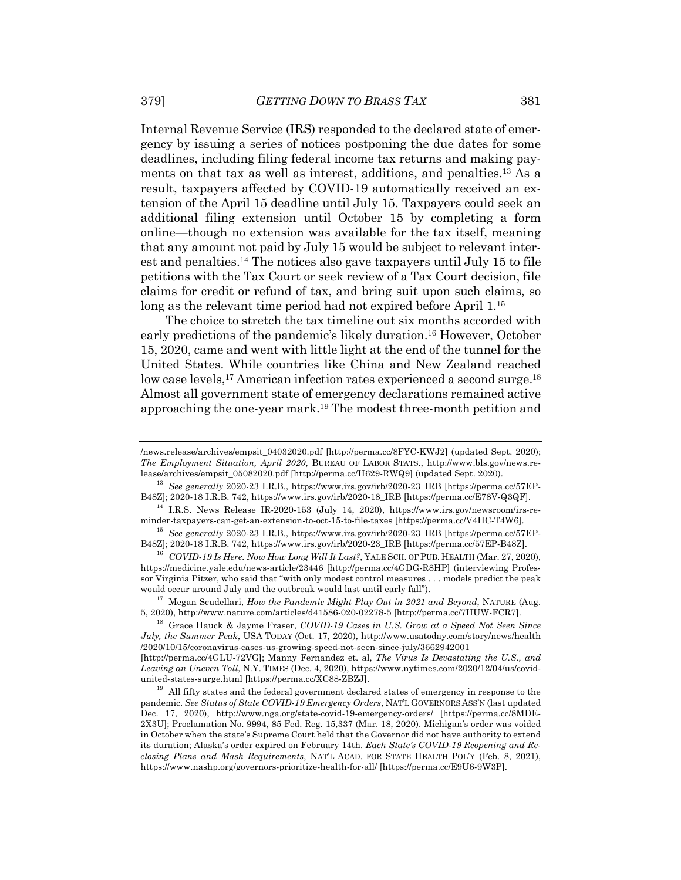Internal Revenue Service (IRS) responded to the declared state of emergency by issuing a series of notices postponing the due dates for some deadlines, including filing federal income tax returns and making payments on that tax as well as interest, additions, and penalties.13 As a result, taxpayers affected by COVID-19 automatically received an extension of the April 15 deadline until July 15. Taxpayers could seek an additional filing extension until October 15 by completing a form online—though no extension was available for the tax itself, meaning that any amount not paid by July 15 would be subject to relevant interest and penalties.14 The notices also gave taxpayers until July 15 to file petitions with the Tax Court or seek review of a Tax Court decision, file claims for credit or refund of tax, and bring suit upon such claims, so long as the relevant time period had not expired before April 1.<sup>15</sup>

The choice to stretch the tax timeline out six months accorded with early predictions of the pandemic's likely duration.<sup>16</sup> However, October 15, 2020, came and went with little light at the end of the tunnel for the United States. While countries like China and New Zealand reached low case levels,<sup>17</sup> American infection rates experienced a second surge.<sup>18</sup> Almost all government state of emergency declarations remained active approaching the one-year mark.19 The modest three-month petition and

 $14$  I.R.S. News Release IR-2020-153 (July 14, 2020), https://www.irs.gov/newsroom/irs-reminder-taxpayers-can-get-an-extension-to-oct-15-to-file-taxes [https://perma.cc/V4HC-T4W6].

<sup>15</sup> *See generally* 2020-23 I.R.B., https://www.irs.gov/irb/2020-23\_IRB [https://perma.cc/57EP-B48Z]; 2020-18 I.R.B. 742, https://www.irs.gov/irb/2020-23\_IRB [https://perma.cc/57EP-B48Z].

<sup>16</sup> *COVID-19 Is Here. Now How Long Will It Last?*, YALE SCH. OF PUB. HEALTH (Mar. 27, 2020), https://medicine.yale.edu/news-article/23446 [http://perma.cc/4GDG-R8HP] (interviewing Professor Virginia Pitzer, who said that "with only modest control measures . . . models predict the peak would occur around July and the outbreak would last until early fall").

<sup>17</sup> Megan Scudellari, *How the Pandemic Might Play Out in 2021 and Beyond*, NATURE (Aug. 5, 2020), http://www.nature.com/articles/d41586-020-02278-5 [http://perma.cc/7HUW-FCR7].

<sup>18</sup> Grace Hauck & Jayme Fraser, *COVID-19 Cases in U.S. Grow at a Speed Not Seen Since July, the Summer Peak*, USA TODAY (Oct. 17, 2020), http://www.usatoday.com/story/news/health /2020/10/15/coronavirus-cases-us-growing-speed-not-seen-since-july/3662942001

[http://perma.cc/4GLU-72VG]; Manny Fernandez et. al, *The Virus Is Devastating the U.S., and Leaving an Uneven Toll*, N.Y. TIMES (Dec. 4, 2020), https://www.nytimes.com/2020/12/04/us/covidunited-states-surge.html [https://perma.cc/XC88-ZBZJ].

 $^{19}\,$  All fifty states and the federal government declared states of emergency in response to the pandemic. *See Status of State COVID-19 Emergency Orders*, NAT'L GOVERNORS ASS'N (last updated Dec. 17, 2020), http://www.nga.org/state-covid-19-emergency-orders/ [https://perma.cc/8MDE-2X3U]; Proclamation No. 9994, 85 Fed. Reg. 15,337 (Mar. 18, 2020). Michigan's order was voided in October when the state's Supreme Court held that the Governor did not have authority to extend its duration; Alaska's order expired on February 14th. *Each State's COVID-19 Reopening and Reclosing Plans and Mask Requirements*, NAT'L ACAD. FOR STATE HEALTH POL'Y (Feb. 8, 2021), https://www.nashp.org/governors-prioritize-health-for-all/ [https://perma.cc/E9U6-9W3P].

<sup>/</sup>news.release/archives/empsit\_04032020.pdf [http://perma.cc/8FYC-KWJ2] (updated Sept. 2020); *The Employment Situation, April 2020*, BUREAU OF LABOR STATS., http://www.bls.gov/news.release/archives/empsit\_05082020.pdf [http://perma.cc/H629-RWQ9] (updated Sept. 2020).

<sup>13</sup> *See generally* 2020-23 I.R.B., https://www.irs.gov/irb/2020-23\_IRB [https://perma.cc/57EP-B48Z]; 2020-18 I.R.B. 742, https://www.irs.gov/irb/2020-18\_IRB [https://perma.cc/E78V-Q3QF].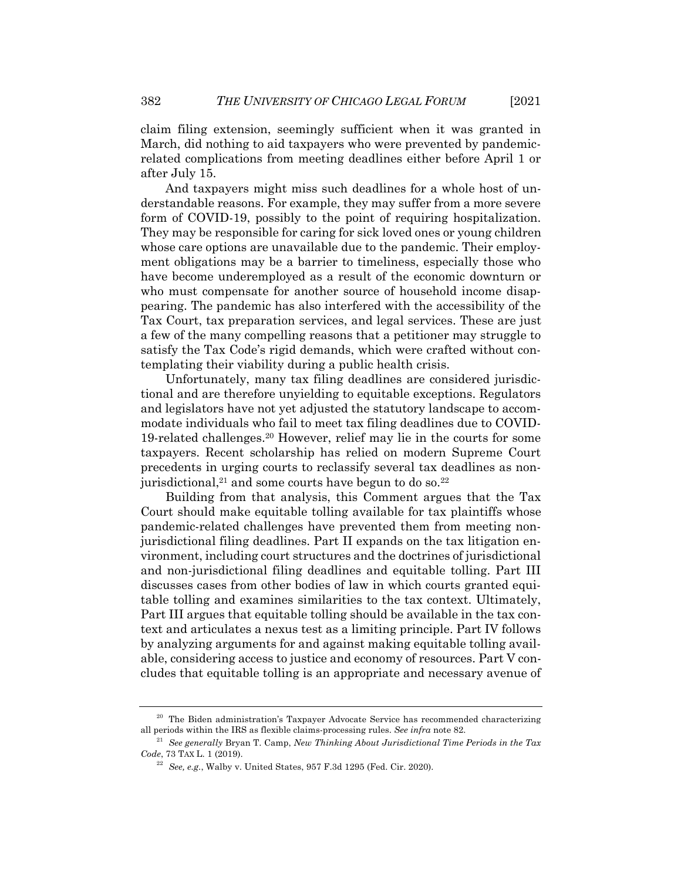claim filing extension, seemingly sufficient when it was granted in March, did nothing to aid taxpayers who were prevented by pandemicrelated complications from meeting deadlines either before April 1 or after July 15.

And taxpayers might miss such deadlines for a whole host of understandable reasons. For example, they may suffer from a more severe form of COVID-19, possibly to the point of requiring hospitalization. They may be responsible for caring for sick loved ones or young children whose care options are unavailable due to the pandemic. Their employment obligations may be a barrier to timeliness, especially those who have become underemployed as a result of the economic downturn or who must compensate for another source of household income disappearing. The pandemic has also interfered with the accessibility of the Tax Court, tax preparation services, and legal services. These are just a few of the many compelling reasons that a petitioner may struggle to satisfy the Tax Code's rigid demands, which were crafted without contemplating their viability during a public health crisis.

Unfortunately, many tax filing deadlines are considered jurisdictional and are therefore unyielding to equitable exceptions. Regulators and legislators have not yet adjusted the statutory landscape to accommodate individuals who fail to meet tax filing deadlines due to COVID-19-related challenges.20 However, relief may lie in the courts for some taxpayers. Recent scholarship has relied on modern Supreme Court precedents in urging courts to reclassify several tax deadlines as nonjurisdictional,<sup>21</sup> and some courts have begun to do so.<sup>22</sup>

Building from that analysis, this Comment argues that the Tax Court should make equitable tolling available for tax plaintiffs whose pandemic-related challenges have prevented them from meeting nonjurisdictional filing deadlines. Part II expands on the tax litigation environment, including court structures and the doctrines of jurisdictional and non-jurisdictional filing deadlines and equitable tolling. Part III discusses cases from other bodies of law in which courts granted equitable tolling and examines similarities to the tax context. Ultimately, Part III argues that equitable tolling should be available in the tax context and articulates a nexus test as a limiting principle. Part IV follows by analyzing arguments for and against making equitable tolling available, considering access to justice and economy of resources. Part V concludes that equitable tolling is an appropriate and necessary avenue of

<sup>&</sup>lt;sup>20</sup> The Biden administration's Taxpayer Advocate Service has recommended characterizing all periods within the IRS as flexible claims-processing rules. *See infra* note 82.

<sup>21</sup> *See generally* Bryan T. Camp, *New Thinking About Jurisdictional Time Periods in the Tax Code*, 73 TAX L. 1 (2019).

<sup>22</sup> *See, e.g.*, Walby v. United States, 957 F.3d 1295 (Fed. Cir. 2020).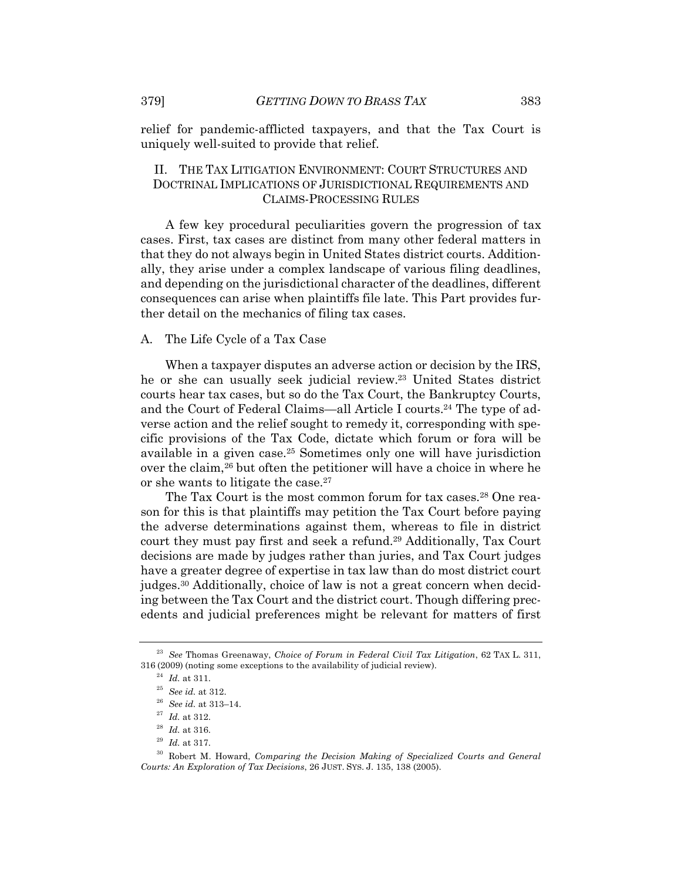relief for pandemic-afflicted taxpayers, and that the Tax Court is uniquely well-suited to provide that relief.

## II. THE TAX LITIGATION ENVIRONMENT: COURT STRUCTURES AND DOCTRINAL IMPLICATIONS OF JURISDICTIONAL REQUIREMENTS AND CLAIMS-PROCESSING RULES

A few key procedural peculiarities govern the progression of tax cases. First, tax cases are distinct from many other federal matters in that they do not always begin in United States district courts. Additionally, they arise under a complex landscape of various filing deadlines, and depending on the jurisdictional character of the deadlines, different consequences can arise when plaintiffs file late. This Part provides further detail on the mechanics of filing tax cases.

#### A. The Life Cycle of a Tax Case

When a taxpayer disputes an adverse action or decision by the IRS, he or she can usually seek judicial review.23 United States district courts hear tax cases, but so do the Tax Court, the Bankruptcy Courts, and the Court of Federal Claims—all Article I courts.24 The type of adverse action and the relief sought to remedy it, corresponding with specific provisions of the Tax Code, dictate which forum or fora will be available in a given case.25 Sometimes only one will have jurisdiction over the claim,<sup>26</sup> but often the petitioner will have a choice in where he or she wants to litigate the case.<sup>27</sup>

The Tax Court is the most common forum for tax cases.<sup>28</sup> One reason for this is that plaintiffs may petition the Tax Court before paying the adverse determinations against them, whereas to file in district court they must pay first and seek a refund.29 Additionally, Tax Court decisions are made by judges rather than juries, and Tax Court judges have a greater degree of expertise in tax law than do most district court judges.30 Additionally, choice of law is not a great concern when deciding between the Tax Court and the district court. Though differing precedents and judicial preferences might be relevant for matters of first

<sup>23</sup> *See* Thomas Greenaway, *Choice of Forum in Federal Civil Tax Litigation*, 62 TAX L. 311, 316 (2009) (noting some exceptions to the availability of judicial review).

 $^{24}\,$   $Id.\;$  at 311.

<sup>25</sup> *See id.* at 312.

<sup>26</sup> *See id.* at 313–14.

<sup>27</sup> *Id.* at 312.

<sup>28</sup> *Id.* at 316.

<sup>29</sup> *Id.* at 317.

<sup>30</sup> Robert M. Howard, *Comparing the Decision Making of Specialized Courts and General Courts: An Exploration of Tax Decisions*, 26 JUST. SYS. J. 135, 138 (2005).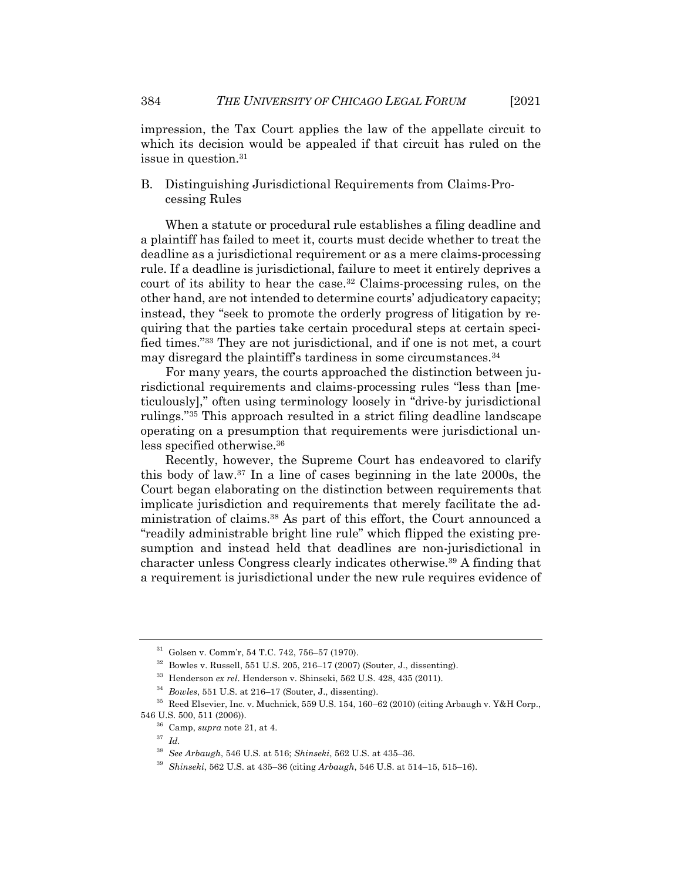impression, the Tax Court applies the law of the appellate circuit to which its decision would be appealed if that circuit has ruled on the issue in question.31

B. Distinguishing Jurisdictional Requirements from Claims-Processing Rules

When a statute or procedural rule establishes a filing deadline and a plaintiff has failed to meet it, courts must decide whether to treat the deadline as a jurisdictional requirement or as a mere claims-processing rule. If a deadline is jurisdictional, failure to meet it entirely deprives a court of its ability to hear the case.32 Claims-processing rules, on the other hand, are not intended to determine courts' adjudicatory capacity; instead, they "seek to promote the orderly progress of litigation by requiring that the parties take certain procedural steps at certain specified times."33 They are not jurisdictional, and if one is not met, a court may disregard the plaintiff's tardiness in some circumstances.<sup>34</sup>

For many years, the courts approached the distinction between jurisdictional requirements and claims-processing rules "less than [meticulously]," often using terminology loosely in "drive-by jurisdictional rulings."35 This approach resulted in a strict filing deadline landscape operating on a presumption that requirements were jurisdictional unless specified otherwise.36

Recently, however, the Supreme Court has endeavored to clarify this body of law.37 In a line of cases beginning in the late 2000s, the Court began elaborating on the distinction between requirements that implicate jurisdiction and requirements that merely facilitate the administration of claims.38 As part of this effort, the Court announced a "readily administrable bright line rule" which flipped the existing presumption and instead held that deadlines are non-jurisdictional in character unless Congress clearly indicates otherwise.39 A finding that a requirement is jurisdictional under the new rule requires evidence of

<sup>31</sup> Golsen v. Comm'r, 54 T.C. 742, 756–57 (1970).

 $32$  Bowles v. Russell, 551 U.S. 205, 216–17 (2007) (Souter, J., dissenting).

<sup>33</sup> Henderson *ex rel.* Henderson v. Shinseki, 562 U.S. 428, 435 (2011).

<sup>34</sup> *Bowles*, 551 U.S. at 216–17 (Souter, J., dissenting).

<sup>35</sup> Reed Elsevier, Inc. v. Muchnick, 559 U.S. 154, 160–62 (2010) (citing Arbaugh v. Y&H Corp., 546 U.S. 500, 511 (2006)).

<sup>36</sup> Camp, *supra* note 21, at 4.

<sup>37</sup> *Id.*

<sup>38</sup> *See Arbaugh*, 546 U.S. at 516; *Shinseki*, 562 U.S. at 435–36.

<sup>39</sup> *Shinseki*, 562 U.S. at 435–36 (citing *Arbaugh*, 546 U.S. at 514–15, 515–16).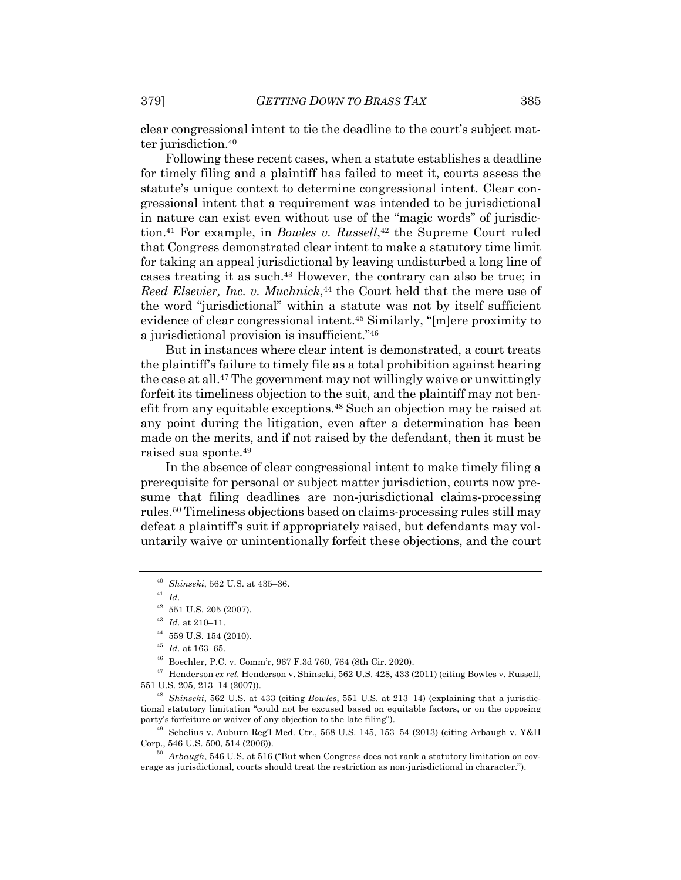clear congressional intent to tie the deadline to the court's subject matter jurisdiction.40

Following these recent cases, when a statute establishes a deadline for timely filing and a plaintiff has failed to meet it, courts assess the statute's unique context to determine congressional intent. Clear congressional intent that a requirement was intended to be jurisdictional in nature can exist even without use of the "magic words" of jurisdiction.41 For example, in *Bowles v. Russell*, <sup>42</sup> the Supreme Court ruled that Congress demonstrated clear intent to make a statutory time limit for taking an appeal jurisdictional by leaving undisturbed a long line of cases treating it as such.43 However, the contrary can also be true; in *Reed Elsevier, Inc. v. Muchnick*,<sup>44</sup> the Court held that the mere use of the word "jurisdictional" within a statute was not by itself sufficient evidence of clear congressional intent.45 Similarly, "[m]ere proximity to a jurisdictional provision is insufficient."46

But in instances where clear intent is demonstrated, a court treats the plaintiff's failure to timely file as a total prohibition against hearing the case at all.47 The government may not willingly waive or unwittingly forfeit its timeliness objection to the suit, and the plaintiff may not benefit from any equitable exceptions.48 Such an objection may be raised at any point during the litigation, even after a determination has been made on the merits, and if not raised by the defendant, then it must be raised sua sponte.49

In the absence of clear congressional intent to make timely filing a prerequisite for personal or subject matter jurisdiction, courts now presume that filing deadlines are non-jurisdictional claims-processing rules.50 Timeliness objections based on claims-processing rules still may defeat a plaintiff's suit if appropriately raised, but defendants may voluntarily waive or unintentionally forfeit these objections, and the court

<sup>46</sup> Boechler, P.C. v. Comm'r, 967 F.3d 760, 764 (8th Cir. 2020).

<sup>47</sup> Henderson *ex rel.* Henderson v. Shinseki, 562 U.S. 428, 433 (2011) (citing Bowles v. Russell, 551 U.S. 205, 213–14 (2007)).

<sup>48</sup> *Shinseki*, 562 U.S. at 433 (citing *Bowles*, 551 U.S. at 213–14) (explaining that a jurisdictional statutory limitation "could not be excused based on equitable factors, or on the opposing party's forfeiture or waiver of any objection to the late filing").

 $^{49}$  Sebelius v. Auburn Reg'l Med. Ctr., 568 U.S. 145, 153-54 (2013) (citing Arbaugh v. Y&H Corp., 546 U.S. 500, 514 (2006)).

<sup>50</sup> *Arbaugh*, 546 U.S. at 516 ("But when Congress does not rank a statutory limitation on coverage as jurisdictional, courts should treat the restriction as non-jurisdictional in character.").

<sup>40</sup> *Shinseki*, 562 U.S. at 435–36.

<sup>41</sup> *Id.*

 $^{42}\,$  551 U.S. 205 (2007).

<sup>43</sup> *Id.* at 210–11.

 $^{44}\,$  559 U.S. 154 (2010).

 $^{45}$   $\emph{Id.}$  at 163–65.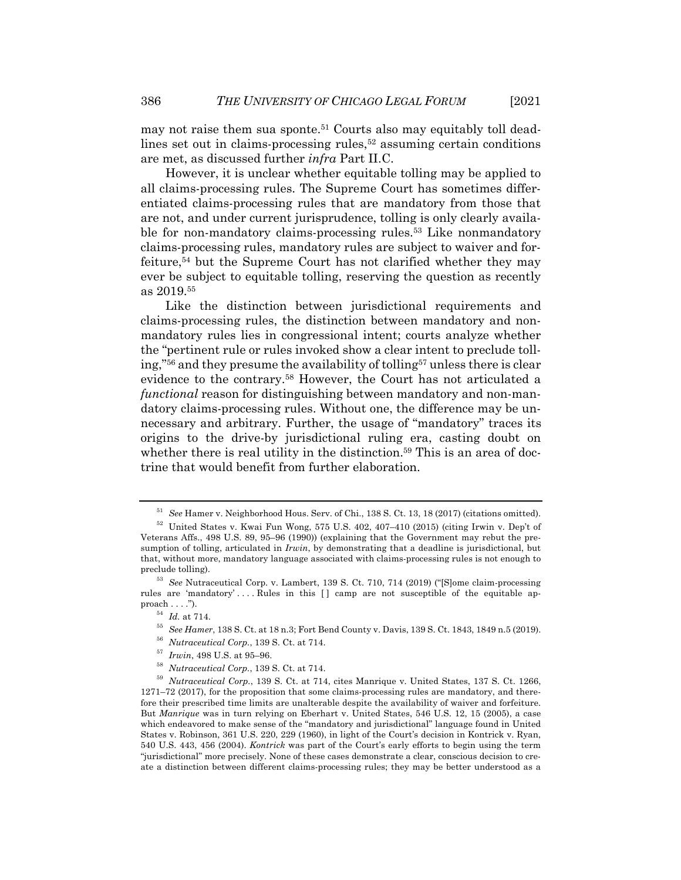may not raise them sua sponte.<sup>51</sup> Courts also may equitably toll deadlines set out in claims-processing rules, $5<sup>2</sup>$  assuming certain conditions are met, as discussed further *infra* Part II.C.

However, it is unclear whether equitable tolling may be applied to all claims-processing rules. The Supreme Court has sometimes differentiated claims-processing rules that are mandatory from those that are not, and under current jurisprudence, tolling is only clearly available for non-mandatory claims-processing rules.<sup>53</sup> Like nonmandatory claims-processing rules, mandatory rules are subject to waiver and forfeiture,54 but the Supreme Court has not clarified whether they may ever be subject to equitable tolling, reserving the question as recently as 2019.55

Like the distinction between jurisdictional requirements and claims-processing rules, the distinction between mandatory and nonmandatory rules lies in congressional intent; courts analyze whether the "pertinent rule or rules invoked show a clear intent to preclude tolling,"56 and they presume the availability of tolling57 unless there is clear evidence to the contrary.58 However, the Court has not articulated a *functional* reason for distinguishing between mandatory and non-mandatory claims-processing rules. Without one, the difference may be unnecessary and arbitrary. Further, the usage of "mandatory" traces its origins to the drive-by jurisdictional ruling era, casting doubt on whether there is real utility in the distinction.<sup>59</sup> This is an area of doctrine that would benefit from further elaboration.

<sup>51</sup> *See* Hamer v. Neighborhood Hous. Serv. of Chi., 138 S. Ct. 13, 18 (2017) (citations omitted).

<sup>52</sup> United States v. Kwai Fun Wong, 575 U.S. 402, 407–410 (2015) (citing Irwin v. Dep't of Veterans Affs., 498 U.S. 89, 95–96 (1990)) (explaining that the Government may rebut the presumption of tolling, articulated in *Irwin*, by demonstrating that a deadline is jurisdictional, but that, without more, mandatory language associated with claims-processing rules is not enough to preclude tolling).

<sup>53</sup> *See* Nutraceutical Corp. v. Lambert, 139 S. Ct. 710, 714 (2019) ("[S]ome claim-processing rules are 'mandatory' . . . . Rules in this [ ] camp are not susceptible of the equitable ap $proach \ldots$ ").

 $^{54}$   $\,$   $\!d.$  at 714.

<sup>55</sup> *See Hamer*, 138 S. Ct. at 18 n.3; Fort Bend County v. Davis, 139 S. Ct. 1843, 1849 n.5 (2019).

<sup>56</sup> *Nutraceutical Corp.*, 139 S. Ct. at 714.

<sup>57</sup> *Irwin*, 498 U.S. at 95–96.

<sup>58</sup> *Nutraceutical Corp.*, 139 S. Ct. at 714.

<sup>59</sup> *Nutraceutical Corp.*, 139 S. Ct. at 714, cites Manrique v. United States, 137 S. Ct. 1266, 1271–72 (2017), for the proposition that some claims-processing rules are mandatory, and therefore their prescribed time limits are unalterable despite the availability of waiver and forfeiture. But *Manrique* was in turn relying on Eberhart v. United States, 546 U.S. 12, 15 (2005), a case which endeavored to make sense of the "mandatory and jurisdictional" language found in United States v. Robinson, 361 U.S. 220, 229 (1960), in light of the Court's decision in Kontrick v. Ryan, 540 U.S. 443, 456 (2004). *Kontrick* was part of the Court's early efforts to begin using the term "jurisdictional" more precisely. None of these cases demonstrate a clear, conscious decision to create a distinction between different claims-processing rules; they may be better understood as a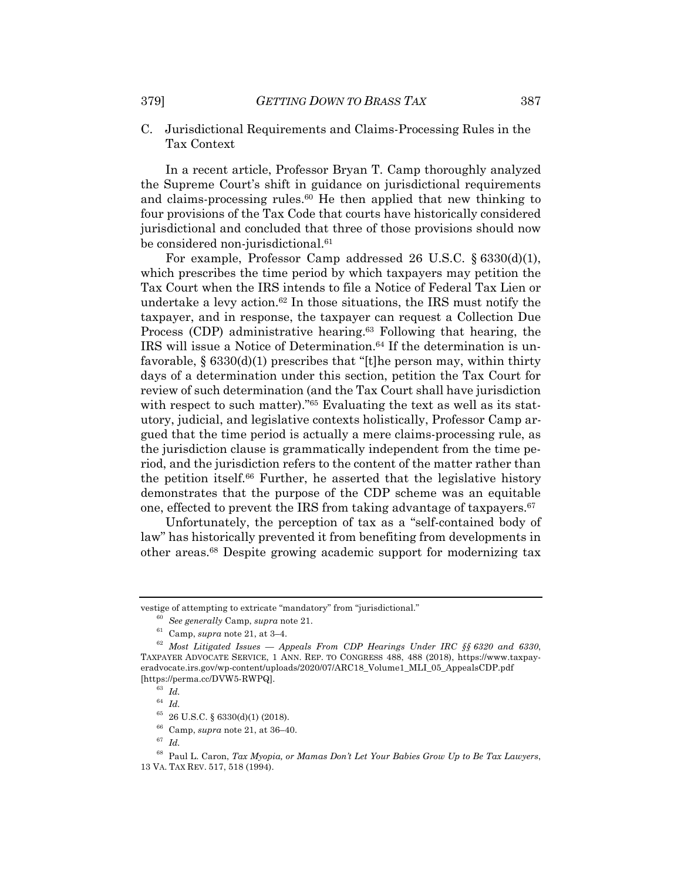C. Jurisdictional Requirements and Claims-Processing Rules in the Tax Context

In a recent article, Professor Bryan T. Camp thoroughly analyzed the Supreme Court's shift in guidance on jurisdictional requirements and claims-processing rules.60 He then applied that new thinking to four provisions of the Tax Code that courts have historically considered jurisdictional and concluded that three of those provisions should now be considered non-jurisdictional.<sup>61</sup>

For example, Professor Camp addressed 26 U.S.C. § 6330(d)(1), which prescribes the time period by which taxpayers may petition the Tax Court when the IRS intends to file a Notice of Federal Tax Lien or undertake a levy action.<sup>62</sup> In those situations, the IRS must notify the taxpayer, and in response, the taxpayer can request a Collection Due Process (CDP) administrative hearing.<sup>63</sup> Following that hearing, the IRS will issue a Notice of Determination.<sup>64</sup> If the determination is unfavorable, § 6330(d)(1) prescribes that "[t]he person may, within thirty days of a determination under this section, petition the Tax Court for review of such determination (and the Tax Court shall have jurisdiction with respect to such matter)."<sup>65</sup> Evaluating the text as well as its statutory, judicial, and legislative contexts holistically, Professor Camp argued that the time period is actually a mere claims-processing rule, as the jurisdiction clause is grammatically independent from the time period, and the jurisdiction refers to the content of the matter rather than the petition itself.66 Further, he asserted that the legislative history demonstrates that the purpose of the CDP scheme was an equitable one, effected to prevent the IRS from taking advantage of taxpayers.<sup>67</sup>

Unfortunately, the perception of tax as a "self-contained body of law" has historically prevented it from benefiting from developments in other areas.68 Despite growing academic support for modernizing tax

vestige of attempting to extricate "mandatory" from "jurisdictional."

<sup>60</sup> *See generally* Camp, *supra* note 21.

<sup>61</sup> Camp, *supra* note 21, at 3–4.

<sup>62</sup> *Most Litigated Issues — Appeals From CDP Hearings Under IRC §§ 6320 and 6330*, TAXPAYER ADVOCATE SERVICE, 1 ANN. REP. TO CONGRESS 488, 488 (2018), https://www.taxpayeradvocate.irs.gov/wp-content/uploads/2020/07/ARC18\_Volume1\_MLI\_05\_AppealsCDP.pdf [https://perma.cc/DVW5-RWPQ].

<sup>63</sup> *Id.*

<sup>64</sup> *Id.*

 $^{65}$  26 U.S.C. § 6330(d)(1) (2018).

<sup>66</sup> Camp, *supra* note 21, at 36–40.

<sup>67</sup> *Id.*

<sup>68</sup> Paul L. Caron, *Tax Myopia, or Mamas Don't Let Your Babies Grow Up to Be Tax Lawyers*, 13 VA. TAX REV. 517, 518 (1994).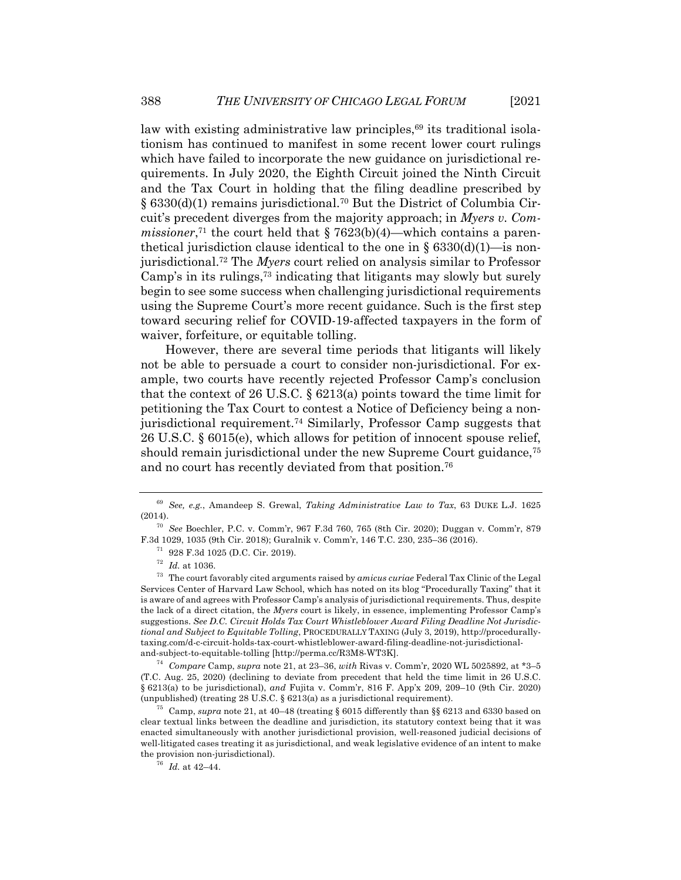law with existing administrative law principles,<sup>69</sup> its traditional isolationism has continued to manifest in some recent lower court rulings which have failed to incorporate the new guidance on jurisdictional requirements. In July 2020, the Eighth Circuit joined the Ninth Circuit and the Tax Court in holding that the filing deadline prescribed by § 6330(d)(1) remains jurisdictional.70 But the District of Columbia Circuit's precedent diverges from the majority approach; in *Myers v. Commissioner*,<sup>71</sup> the court held that  $\S 7623(b)(4)$ —which contains a parenthetical jurisdiction clause identical to the one in  $\S 6330(d)(1)$ —is nonjurisdictional.72 The *Myers* court relied on analysis similar to Professor Camp's in its rulings,73 indicating that litigants may slowly but surely begin to see some success when challenging jurisdictional requirements using the Supreme Court's more recent guidance. Such is the first step toward securing relief for COVID-19-affected taxpayers in the form of waiver, forfeiture, or equitable tolling.

However, there are several time periods that litigants will likely not be able to persuade a court to consider non-jurisdictional. For example, two courts have recently rejected Professor Camp's conclusion that the context of 26 U.S.C. § 6213(a) points toward the time limit for petitioning the Tax Court to contest a Notice of Deficiency being a nonjurisdictional requirement.74 Similarly, Professor Camp suggests that 26 U.S.C. § 6015(e), which allows for petition of innocent spouse relief, should remain jurisdictional under the new Supreme Court guidance,<sup>75</sup> and no court has recently deviated from that position.76

<sup>71</sup> 928 F.3d 1025 (D.C. Cir. 2019).

<sup>74</sup> *Compare* Camp, *supra* note 21, at 23–36, *with* Rivas v. Comm'r, 2020 WL 5025892, at \*3–5 (T.C. Aug. 25, 2020) (declining to deviate from precedent that held the time limit in 26 U.S.C. § 6213(a) to be jurisdictional), *and* Fujita v. Comm'r, 816 F. App'x 209, 209–10 (9th Cir. 2020) (unpublished) (treating 28 U.S.C. § 6213(a) as a jurisdictional requirement).

<sup>75</sup> Camp, *supra* note 21, at 40–48 (treating § 6015 differently than §§ 6213 and 6330 based on clear textual links between the deadline and jurisdiction, its statutory context being that it was enacted simultaneously with another jurisdictional provision, well-reasoned judicial decisions of well-litigated cases treating it as jurisdictional, and weak legislative evidence of an intent to make the provision non-jurisdictional).

 $^{76}\,$   $Id.\;$  at 42–44.

<sup>69</sup> *See, e.g.*, Amandeep S. Grewal, *Taking Administrative Law to Tax*, 63 DUKE L.J. 1625 (2014).

<sup>70</sup> *See* Boechler, P.C. v. Comm'r, 967 F.3d 760, 765 (8th Cir. 2020); Duggan v. Comm'r, 879 F.3d 1029, 1035 (9th Cir. 2018); Guralnik v. Comm'r, 146 T.C. 230, 235–36 (2016).

 $^{72}$  *Id.* at 1036.

<sup>73</sup> The court favorably cited arguments raised by *amicus curiae* Federal Tax Clinic of the Legal Services Center of Harvard Law School, which has noted on its blog "Procedurally Taxing" that it is aware of and agrees with Professor Camp's analysis of jurisdictional requirements. Thus, despite the lack of a direct citation, the *Myers* court is likely, in essence, implementing Professor Camp's suggestions. *See D.C. Circuit Holds Tax Court Whistleblower Award Filing Deadline Not Jurisdictional and Subject to Equitable Tolling*, PROCEDURALLY TAXING (July 3, 2019), http://procedurallytaxing.com/d-c-circuit-holds-tax-court-whistleblower-award-filing-deadline-not-jurisdictionaland-subject-to-equitable-tolling [http://perma.cc/R3M8-WT3K].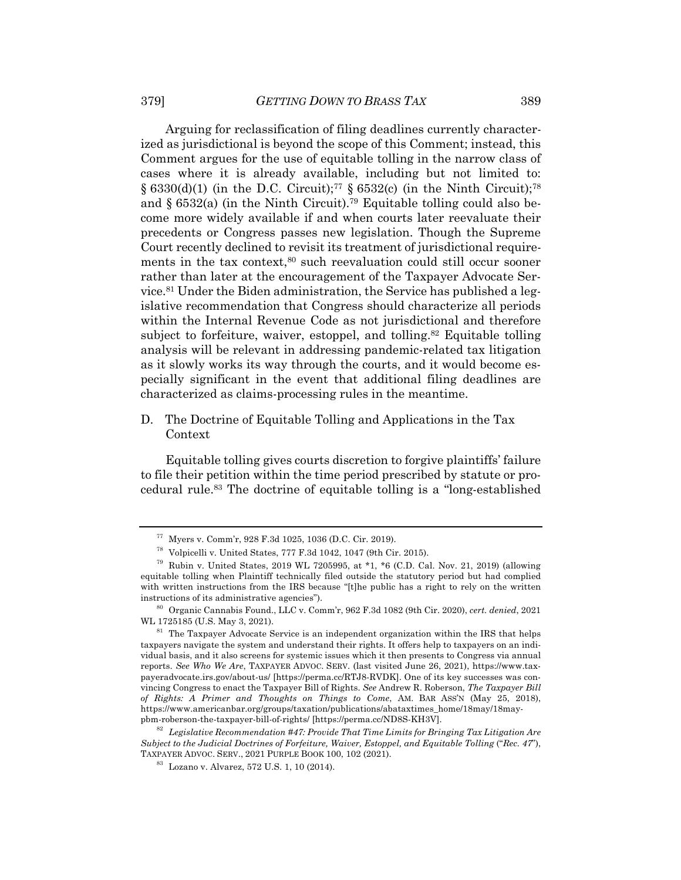Arguing for reclassification of filing deadlines currently characterized as jurisdictional is beyond the scope of this Comment; instead, this Comment argues for the use of equitable tolling in the narrow class of cases where it is already available, including but not limited to: § 6330(d)(1) (in the D.C. Circuit);<sup>77</sup> § 6532(c) (in the Ninth Circuit);<sup>78</sup> and  $\S 6532(a)$  (in the Ninth Circuit).<sup>79</sup> Equitable tolling could also become more widely available if and when courts later reevaluate their precedents or Congress passes new legislation. Though the Supreme Court recently declined to revisit its treatment of jurisdictional requirements in the tax context,<sup>80</sup> such reevaluation could still occur sooner rather than later at the encouragement of the Taxpayer Advocate Service.81 Under the Biden administration, the Service has published a legislative recommendation that Congress should characterize all periods within the Internal Revenue Code as not jurisdictional and therefore subject to forfeiture, waiver, estoppel, and tolling.<sup>82</sup> Equitable tolling analysis will be relevant in addressing pandemic-related tax litigation as it slowly works its way through the courts, and it would become especially significant in the event that additional filing deadlines are characterized as claims-processing rules in the meantime.

D. The Doctrine of Equitable Tolling and Applications in the Tax Context

Equitable tolling gives courts discretion to forgive plaintiffs' failure to file their petition within the time period prescribed by statute or procedural rule.83 The doctrine of equitable tolling is a "long-established

<sup>77</sup> Myers v. Comm'r, 928 F.3d 1025, 1036 (D.C. Cir. 2019).

<sup>78</sup> Volpicelli v. United States, 777 F.3d 1042, 1047 (9th Cir. 2015).

<sup>&</sup>lt;sup>79</sup> Rubin v. United States, 2019 WL 7205995, at  $*1$ ,  $*6$  (C.D. Cal. Nov. 21, 2019) (allowing equitable tolling when Plaintiff technically filed outside the statutory period but had complied with written instructions from the IRS because "[t]he public has a right to rely on the written instructions of its administrative agencies").

<sup>80</sup> Organic Cannabis Found., LLC v. Comm'r, 962 F.3d 1082 (9th Cir. 2020), *cert. denied*, 2021 WL 1725185 (U.S. May 3, 2021).

 $81$  The Taxpayer Advocate Service is an independent organization within the IRS that helps taxpayers navigate the system and understand their rights. It offers help to taxpayers on an individual basis, and it also screens for systemic issues which it then presents to Congress via annual reports. *See Who We Are*, TAXPAYER ADVOC. SERV. (last visited June 26, 2021), https://www.taxpayeradvocate.irs.gov/about-us/ [https://perma.cc/RTJ8-RVDK]. One of its key successes was convincing Congress to enact the Taxpayer Bill of Rights. *See* Andrew R. Roberson, *The Taxpayer Bill of Rights: A Primer and Thoughts on Things to Come*, AM. BAR ASS'N (May 25, 2018), https://www.americanbar.org/groups/taxation/publications/abataxtimes\_home/18may/18maypbm-roberson-the-taxpayer-bill-of-rights/ [https://perma.cc/ND8S-KH3V].

<sup>82</sup> *Legislative Recommendation #47: Provide That Time Limits for Bringing Tax Litigation Are Subject to the Judicial Doctrines of Forfeiture, Waiver, Estoppel, and Equitable Tolling* ("*Rec. 47*"), TAXPAYER ADVOC. SERV., 2021 PURPLE BOOK 100, 102 (2021).

<sup>83</sup> Lozano v. Alvarez, 572 U.S. 1, 10 (2014).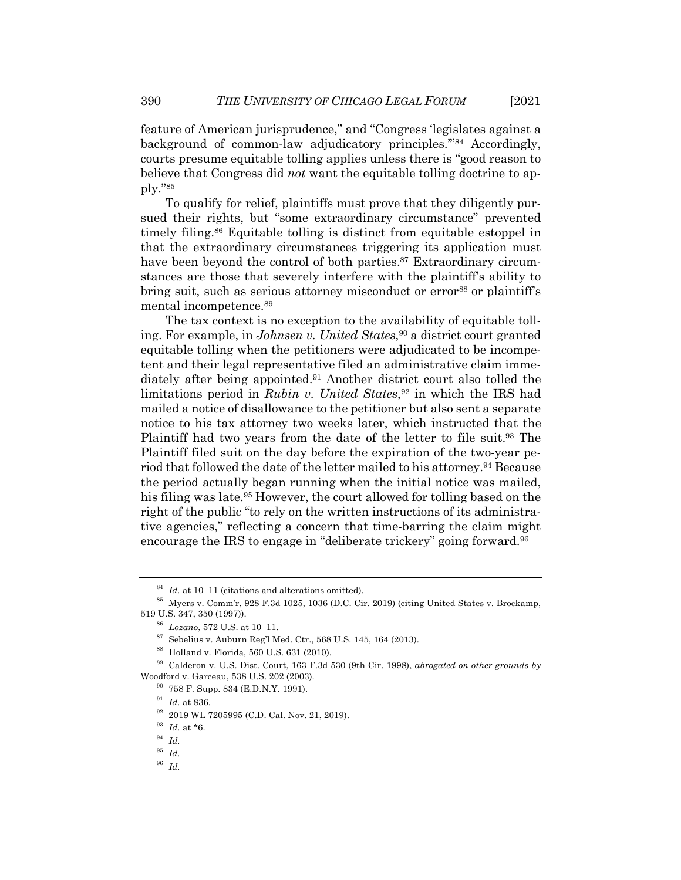feature of American jurisprudence," and "Congress 'legislates against a background of common-law adjudicatory principles.'"84 Accordingly, courts presume equitable tolling applies unless there is "good reason to believe that Congress did *not* want the equitable tolling doctrine to apply."85

To qualify for relief, plaintiffs must prove that they diligently pursued their rights, but "some extraordinary circumstance" prevented timely filing.86 Equitable tolling is distinct from equitable estoppel in that the extraordinary circumstances triggering its application must have been beyond the control of both parties.<sup>87</sup> Extraordinary circumstances are those that severely interfere with the plaintiff's ability to bring suit, such as serious attorney misconduct or error<sup>88</sup> or plaintiff's mental incompetence.89

The tax context is no exception to the availability of equitable tolling. For example, in *Johnsen v. United States*, <sup>90</sup> a district court granted equitable tolling when the petitioners were adjudicated to be incompetent and their legal representative filed an administrative claim immediately after being appointed.91 Another district court also tolled the limitations period in *Rubin v. United States*,<sup>92</sup> in which the IRS had mailed a notice of disallowance to the petitioner but also sent a separate notice to his tax attorney two weeks later, which instructed that the Plaintiff had two years from the date of the letter to file suit.<sup>93</sup> The Plaintiff filed suit on the day before the expiration of the two-year period that followed the date of the letter mailed to his attorney.<sup>94</sup> Because the period actually began running when the initial notice was mailed, his filing was late.<sup>95</sup> However, the court allowed for tolling based on the right of the public "to rely on the written instructions of its administrative agencies," reflecting a concern that time-barring the claim might encourage the IRS to engage in "deliberate trickery" going forward.<sup>96</sup>

<sup>84</sup> *Id.* at 10–11 (citations and alterations omitted).

<sup>85</sup> Myers v. Comm'r, 928 F.3d 1025, 1036 (D.C. Cir. 2019) (citing United States v. Brockamp, 519 U.S. 347, 350 (1997)).

<sup>86</sup> *Lozano*, 572 U.S. at 10–11.

 $^{87}$  Sebelius v. Auburn Reg'l Med. Ctr., 568 U.S. 145, 164 (2013).

<sup>88</sup> Holland v. Florida, 560 U.S. 631 (2010).

<sup>89</sup> Calderon v. U.S. Dist. Court, 163 F.3d 530 (9th Cir. 1998), *abrogated on other grounds by* Woodford v. Garceau, 538 U.S. 202 (2003).

<sup>90</sup> 758 F. Supp. 834 (E.D.N.Y. 1991).

<sup>91</sup> *Id.* at 836.

<sup>92</sup> 2019 WL 7205995 (C.D. Cal. Nov. 21, 2019).

<sup>93</sup> *Id.* at \*6.

<sup>94</sup> *Id.*

<sup>95</sup> *Id.*

<sup>96</sup> *Id.*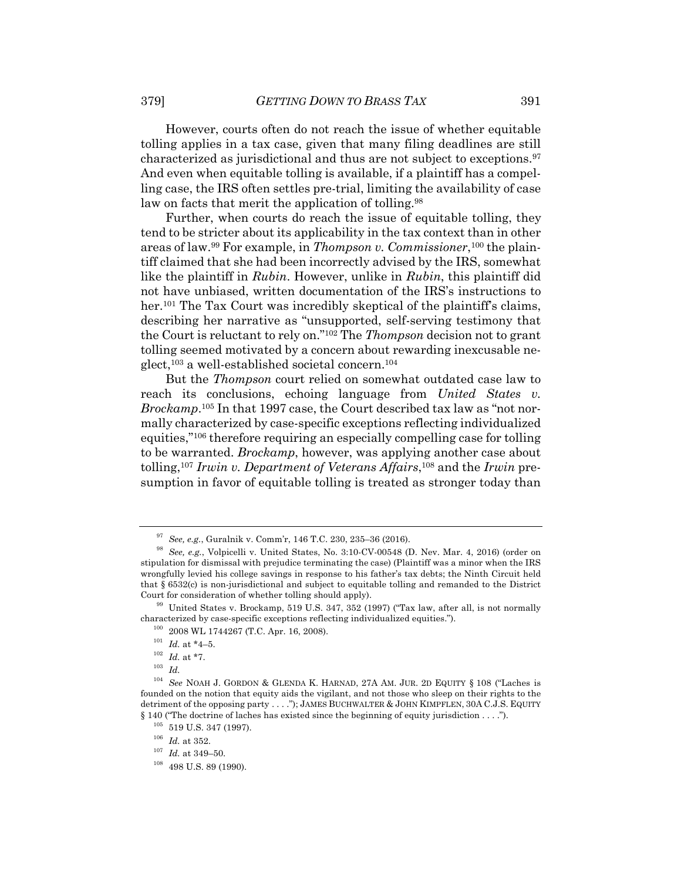However, courts often do not reach the issue of whether equitable tolling applies in a tax case, given that many filing deadlines are still characterized as jurisdictional and thus are not subject to exceptions.97 And even when equitable tolling is available, if a plaintiff has a compelling case, the IRS often settles pre-trial, limiting the availability of case law on facts that merit the application of tolling.<sup>98</sup>

Further, when courts do reach the issue of equitable tolling, they tend to be stricter about its applicability in the tax context than in other areas of law. <sup>99</sup> For example, in *Thompson v. Commissioner*,100 the plaintiff claimed that she had been incorrectly advised by the IRS, somewhat like the plaintiff in *Rubin*. However, unlike in *Rubin*, this plaintiff did not have unbiased, written documentation of the IRS's instructions to her.<sup>101</sup> The Tax Court was incredibly skeptical of the plaintiff's claims, describing her narrative as "unsupported, self-serving testimony that the Court is reluctant to rely on."102 The *Thompson* decision not to grant tolling seemed motivated by a concern about rewarding inexcusable neglect,103 a well-established societal concern.104

But the *Thompson* court relied on somewhat outdated case law to reach its conclusions, echoing language from *United States v. Brockamp*. <sup>105</sup> In that 1997 case, the Court described tax law as "not normally characterized by case-specific exceptions reflecting individualized equities,"106 therefore requiring an especially compelling case for tolling to be warranted. *Brockamp*, however, was applying another case about tolling,107 *Irwin v. Department of Veterans Affairs*, <sup>108</sup> and the *Irwin* presumption in favor of equitable tolling is treated as stronger today than

<sup>97</sup> *See, e.g.*, Guralnik v. Comm'r, 146 T.C. 230, 235–36 (2016).

<sup>98</sup> *See, e.g.*, Volpicelli v. United States, No. 3:10-CV-00548 (D. Nev. Mar. 4, 2016) (order on stipulation for dismissal with prejudice terminating the case) (Plaintiff was a minor when the IRS wrongfully levied his college savings in response to his father's tax debts; the Ninth Circuit held that § 6532(c) is non-jurisdictional and subject to equitable tolling and remanded to the District Court for consideration of whether tolling should apply).

 $99$  United States v. Brockamp, 519 U.S. 347, 352 (1997) ("Tax law, after all, is not normally characterized by case-specific exceptions reflecting individualized equities.").

<sup>100</sup> 2008 WL 1744267 (T.C. Apr. 16, 2008).

 $^{101}$   $\emph{Id.}$  at \*4–5.

 $102$  *Id.* at \*7.

<sup>103</sup> *Id.*

<sup>104</sup> *See* NOAH J. GORDON & GLENDA K. HARNAD, 27A AM. JUR. 2D EQUITY § 108 ("Laches is founded on the notion that equity aids the vigilant, and not those who sleep on their rights to the detriment of the opposing party . . . ."); JAMES BUCHWALTER & JOHN KIMPFLEN, 30A C.J.S. EQUITY § 140 ("The doctrine of laches has existed since the beginning of equity jurisdiction . . . .").

 $^{105}\,$  519 U.S. 347 (1997).

 $^{106}\,$   $Id.\;$  at 352.

 $^{107}\,$   $Id.\;$  at 349–50.

 $108$  498 U.S. 89 (1990).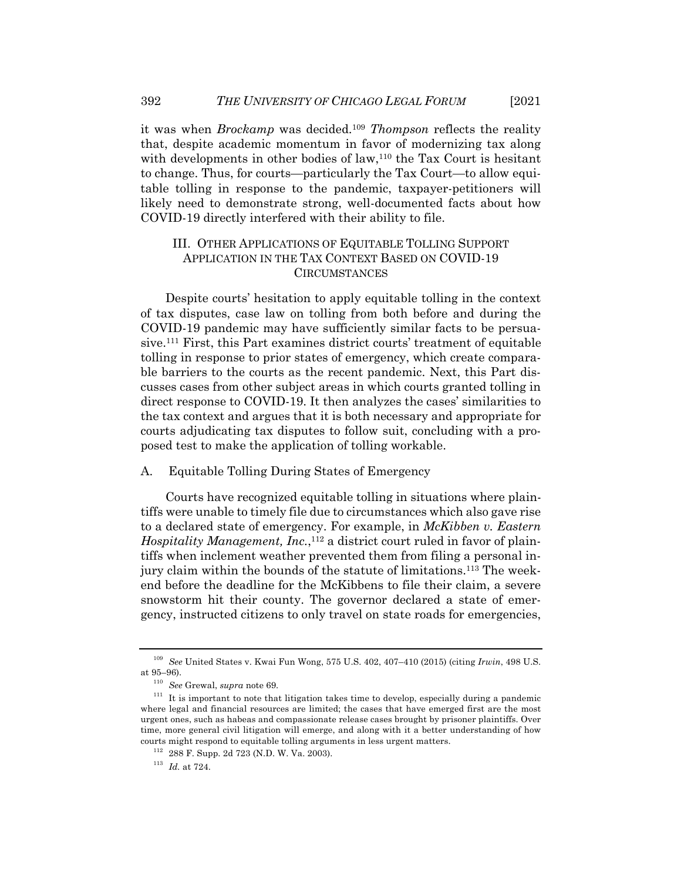it was when *Brockamp* was decided.109 *Thompson* reflects the reality that, despite academic momentum in favor of modernizing tax along with developments in other bodies of law,<sup>110</sup> the Tax Court is hesitant to change. Thus, for courts—particularly the Tax Court—to allow equitable tolling in response to the pandemic, taxpayer-petitioners will likely need to demonstrate strong, well-documented facts about how COVID-19 directly interfered with their ability to file.

## III. OTHER APPLICATIONS OF EQUITABLE TOLLING SUPPORT APPLICATION IN THE TAX CONTEXT BASED ON COVID-19 CIRCUMSTANCES

Despite courts' hesitation to apply equitable tolling in the context of tax disputes, case law on tolling from both before and during the COVID-19 pandemic may have sufficiently similar facts to be persuasive.111 First, this Part examines district courts' treatment of equitable tolling in response to prior states of emergency, which create comparable barriers to the courts as the recent pandemic. Next, this Part discusses cases from other subject areas in which courts granted tolling in direct response to COVID-19. It then analyzes the cases' similarities to the tax context and argues that it is both necessary and appropriate for courts adjudicating tax disputes to follow suit, concluding with a proposed test to make the application of tolling workable.

#### A. Equitable Tolling During States of Emergency

Courts have recognized equitable tolling in situations where plaintiffs were unable to timely file due to circumstances which also gave rise to a declared state of emergency. For example, in *McKibben v. Eastern Hospitality Management, Inc.*, <sup>112</sup> a district court ruled in favor of plaintiffs when inclement weather prevented them from filing a personal injury claim within the bounds of the statute of limitations.113 The weekend before the deadline for the McKibbens to file their claim, a severe snowstorm hit their county. The governor declared a state of emergency, instructed citizens to only travel on state roads for emergencies,

<sup>109</sup> *See* United States v. Kwai Fun Wong, 575 U.S. 402, 407–410 (2015) (citing *Irwin*, 498 U.S. at 95–96).

<sup>110</sup> *See* Grewal, *supra* note 69.

 $111$  It is important to note that litigation takes time to develop, especially during a pandemic where legal and financial resources are limited; the cases that have emerged first are the most urgent ones, such as habeas and compassionate release cases brought by prisoner plaintiffs. Over time, more general civil litigation will emerge, and along with it a better understanding of how courts might respond to equitable tolling arguments in less urgent matters.

<sup>112</sup> 288 F. Supp. 2d 723 (N.D. W. Va. 2003).

<sup>113</sup> *Id.* at 724.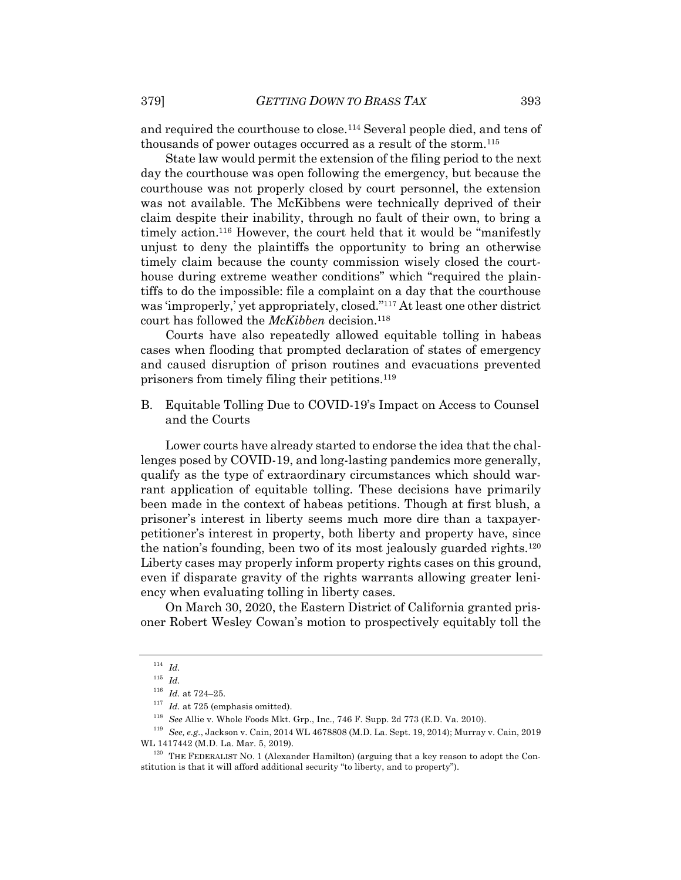and required the courthouse to close.114 Several people died, and tens of thousands of power outages occurred as a result of the storm.115

State law would permit the extension of the filing period to the next day the courthouse was open following the emergency, but because the courthouse was not properly closed by court personnel, the extension was not available. The McKibbens were technically deprived of their claim despite their inability, through no fault of their own, to bring a timely action.<sup>116</sup> However, the court held that it would be "manifestly unjust to deny the plaintiffs the opportunity to bring an otherwise timely claim because the county commission wisely closed the courthouse during extreme weather conditions" which "required the plaintiffs to do the impossible: file a complaint on a day that the courthouse was 'improperly,' yet appropriately, closed."117 At least one other district court has followed the *McKibben* decision.<sup>118</sup>

Courts have also repeatedly allowed equitable tolling in habeas cases when flooding that prompted declaration of states of emergency and caused disruption of prison routines and evacuations prevented prisoners from timely filing their petitions.119

B. Equitable Tolling Due to COVID-19's Impact on Access to Counsel and the Courts

Lower courts have already started to endorse the idea that the challenges posed by COVID-19, and long-lasting pandemics more generally, qualify as the type of extraordinary circumstances which should warrant application of equitable tolling. These decisions have primarily been made in the context of habeas petitions. Though at first blush, a prisoner's interest in liberty seems much more dire than a taxpayerpetitioner's interest in property, both liberty and property have, since the nation's founding, been two of its most jealously guarded rights.120 Liberty cases may properly inform property rights cases on this ground, even if disparate gravity of the rights warrants allowing greater leniency when evaluating tolling in liberty cases.

On March 30, 2020, the Eastern District of California granted prisoner Robert Wesley Cowan's motion to prospectively equitably toll the

<sup>114</sup> *Id.*

<sup>115</sup> *Id.*

<sup>116</sup> *Id.* at 724–25.

<sup>&</sup>lt;sup>117</sup> *Id.* at 725 (emphasis omitted).

<sup>118</sup> *See* Allie v. Whole Foods Mkt. Grp., Inc., 746 F. Supp. 2d 773 (E.D. Va. 2010).

<sup>119</sup> *See, e.g.*, Jackson v. Cain, 2014 WL 4678808 (M.D. La. Sept. 19, 2014); Murray v. Cain, 2019 WL 1417442 (M.D. La. Mar. 5, 2019).

 $120$  THE FEDERALIST NO. 1 (Alexander Hamilton) (arguing that a key reason to adopt the Constitution is that it will afford additional security "to liberty, and to property").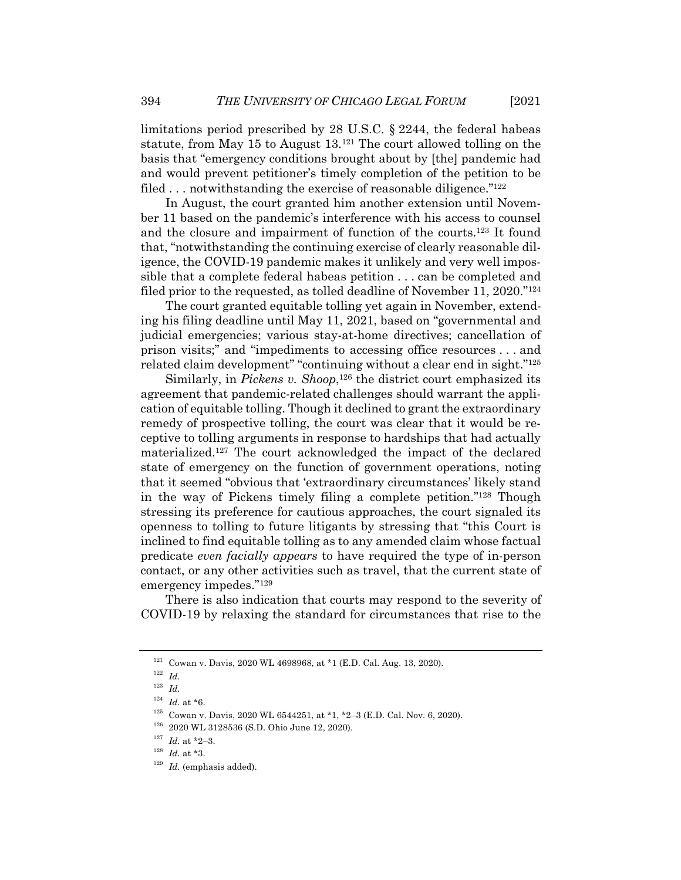limitations period prescribed by 28 U.S.C. § 2244, the federal habeas statute, from May 15 to August 13.121 The court allowed tolling on the basis that "emergency conditions brought about by [the] pandemic had and would prevent petitioner's timely completion of the petition to be filed  $\dots$  notwithstanding the exercise of reasonable diligence." $122$ 

In August, the court granted him another extension until November 11 based on the pandemic's interference with his access to counsel and the closure and impairment of function of the courts.123 It found that, "notwithstanding the continuing exercise of clearly reasonable diligence, the COVID-19 pandemic makes it unlikely and very well impossible that a complete federal habeas petition . . . can be completed and filed prior to the requested, as tolled deadline of November 11, 2020."124

The court granted equitable tolling yet again in November, extending his filing deadline until May 11, 2021, based on "governmental and judicial emergencies; various stay-at-home directives; cancellation of prison visits;" and "impediments to accessing office resources . . . and related claim development" "continuing without a clear end in sight."125

Similarly, in *Pickens v. Shoop*,<sup>126</sup> the district court emphasized its agreement that pandemic-related challenges should warrant the application of equitable tolling. Though it declined to grant the extraordinary remedy of prospective tolling, the court was clear that it would be receptive to tolling arguments in response to hardships that had actually materialized.127 The court acknowledged the impact of the declared state of emergency on the function of government operations, noting that it seemed "obvious that 'extraordinary circumstances' likely stand in the way of Pickens timely filing a complete petition."128 Though stressing its preference for cautious approaches, the court signaled its openness to tolling to future litigants by stressing that "this Court is inclined to find equitable tolling as to any amended claim whose factual predicate *even facially appears* to have required the type of in-person contact, or any other activities such as travel, that the current state of emergency impedes."129

There is also indication that courts may respond to the severity of COVID-19 by relaxing the standard for circumstances that rise to the

<sup>121</sup> Cowan v. Davis, 2020 WL 4698968, at \*1 (E.D. Cal. Aug. 13, 2020).

<sup>122</sup> *Id.*

<sup>123</sup> *Id.*

 $124$  *Id.* at \*6.

 $^{125}\,$  Cowan v. Davis, 2020 WL 6544251, at \*1, \*2–3 (E.D. Cal. Nov. 6, 2020).

<sup>126</sup> 2020 WL 3128536 (S.D. Ohio June 12, 2020).

 $^{127}$   $\,$   $Id.\;$  at \*2–3.

<sup>128</sup> *Id.* at \*3.

<sup>129</sup> *Id.* (emphasis added).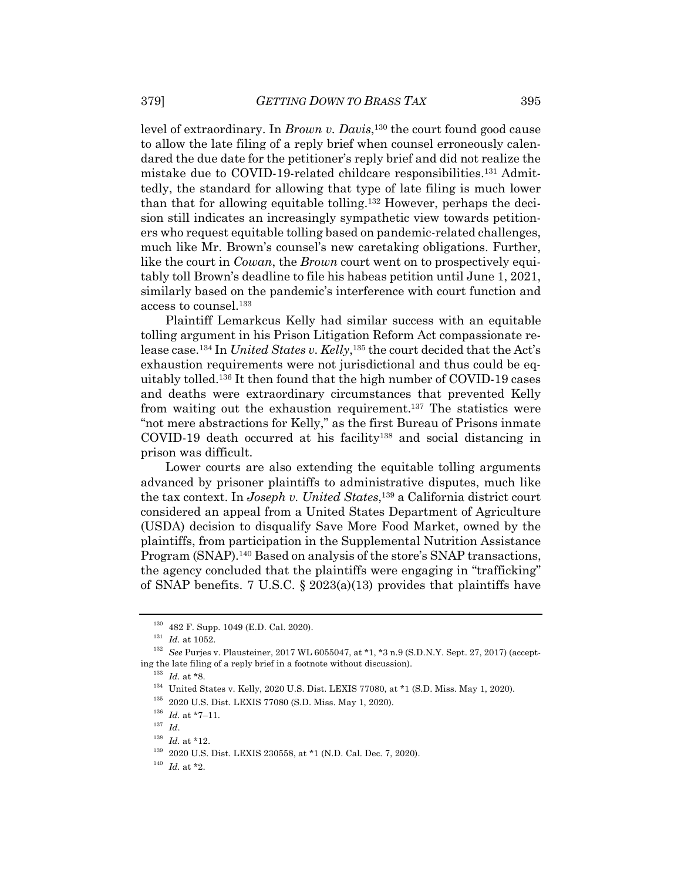level of extraordinary. In *Brown v. Davis*, <sup>130</sup> the court found good cause to allow the late filing of a reply brief when counsel erroneously calendared the due date for the petitioner's reply brief and did not realize the mistake due to COVID-19-related childcare responsibilities.131 Admittedly, the standard for allowing that type of late filing is much lower than that for allowing equitable tolling.132 However, perhaps the decision still indicates an increasingly sympathetic view towards petitioners who request equitable tolling based on pandemic-related challenges, much like Mr. Brown's counsel's new caretaking obligations. Further, like the court in *Cowan*, the *Brown* court went on to prospectively equitably toll Brown's deadline to file his habeas petition until June 1, 2021, similarly based on the pandemic's interference with court function and access to counsel.133

Plaintiff Lemarkcus Kelly had similar success with an equitable tolling argument in his Prison Litigation Reform Act compassionate release case.134 In *United States v. Kelly*, <sup>135</sup> the court decided that the Act's exhaustion requirements were not jurisdictional and thus could be equitably tolled.136 It then found that the high number of COVID-19 cases and deaths were extraordinary circumstances that prevented Kelly from waiting out the exhaustion requirement.137 The statistics were "not mere abstractions for Kelly," as the first Bureau of Prisons inmate COVID-19 death occurred at his facility138 and social distancing in prison was difficult.

Lower courts are also extending the equitable tolling arguments advanced by prisoner plaintiffs to administrative disputes, much like the tax context. In *Joseph v. United States*, <sup>139</sup> a California district court considered an appeal from a United States Department of Agriculture (USDA) decision to disqualify Save More Food Market, owned by the plaintiffs, from participation in the Supplemental Nutrition Assistance Program (SNAP).<sup>140</sup> Based on analysis of the store's SNAP transactions, the agency concluded that the plaintiffs were engaging in "trafficking" of SNAP benefits. 7 U.S.C. § 2023(a)(13) provides that plaintiffs have

<sup>130</sup> 482 F. Supp. 1049 (E.D. Cal. 2020).

 $^{131}\,$   $Id.\;$  at 1052.

<sup>132</sup> *See* Purjes v. Plausteiner, 2017 WL 6055047, at \*1, \*3 n.9 (S.D.N.Y. Sept. 27, 2017) (accepting the late filing of a reply brief in a footnote without discussion).

<sup>133</sup> *Id.* at \*8.

 $^{134}\,$  United States v. Kelly, 2020 U.S. Dist. LEXIS 77080, at \*1 (S.D. Miss. May 1, 2020).

<sup>135</sup> 2020 U.S. Dist. LEXIS 77080 (S.D. Miss. May 1, 2020).

 $^{136}$   $\,Id.$  at \*7–11.

<sup>137</sup> *Id*.

 $^{138}$   $\,$   $Id.\;$  at \*12.

<sup>139</sup> 2020 U.S. Dist. LEXIS 230558, at \*1 (N.D. Cal. Dec. 7, 2020).

 $140$  *Id.* at \*2.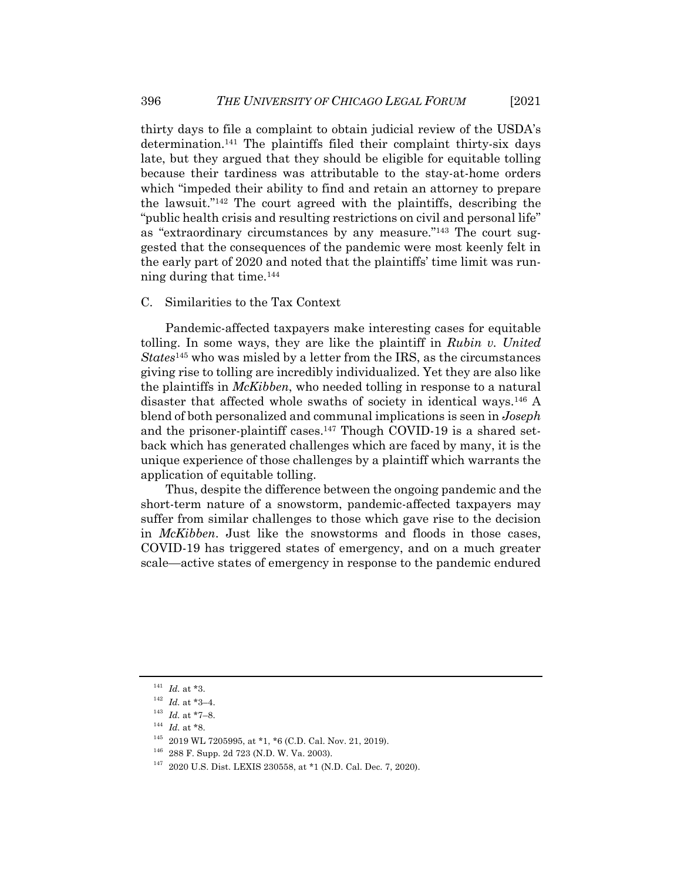thirty days to file a complaint to obtain judicial review of the USDA's determination.141 The plaintiffs filed their complaint thirty-six days late, but they argued that they should be eligible for equitable tolling because their tardiness was attributable to the stay-at-home orders which "impeded their ability to find and retain an attorney to prepare the lawsuit."142 The court agreed with the plaintiffs, describing the "public health crisis and resulting restrictions on civil and personal life" as "extraordinary circumstances by any measure."143 The court suggested that the consequences of the pandemic were most keenly felt in the early part of 2020 and noted that the plaintiffs' time limit was running during that time.144

#### C. Similarities to the Tax Context

Pandemic-affected taxpayers make interesting cases for equitable tolling. In some ways, they are like the plaintiff in *Rubin v. United States*<sup>145</sup> who was misled by a letter from the IRS, as the circumstances giving rise to tolling are incredibly individualized. Yet they are also like the plaintiffs in *McKibben*, who needed tolling in response to a natural disaster that affected whole swaths of society in identical ways.146 A blend of both personalized and communal implications is seen in *Joseph* and the prisoner-plaintiff cases. $147$  Though COVID-19 is a shared setback which has generated challenges which are faced by many, it is the unique experience of those challenges by a plaintiff which warrants the application of equitable tolling.

Thus, despite the difference between the ongoing pandemic and the short-term nature of a snowstorm, pandemic-affected taxpayers may suffer from similar challenges to those which gave rise to the decision in *McKibben*. Just like the snowstorms and floods in those cases, COVID-19 has triggered states of emergency, and on a much greater scale—active states of emergency in response to the pandemic endured

 $^{141}$   $\, Id.$  at \*3.

 $142$  *Id.* at \*3-4.

 $^{143}$   $\, Id.$  at \*7–8.

<sup>&</sup>lt;sup>144</sup> *Id.* at \*8.

<sup>145</sup> 2019 WL 7205995, at \*1, \*6 (C.D. Cal. Nov. 21, 2019).

<sup>146</sup> 288 F. Supp. 2d 723 (N.D. W. Va. 2003).

<sup>147</sup> 2020 U.S. Dist. LEXIS 230558, at \*1 (N.D. Cal. Dec. 7, 2020).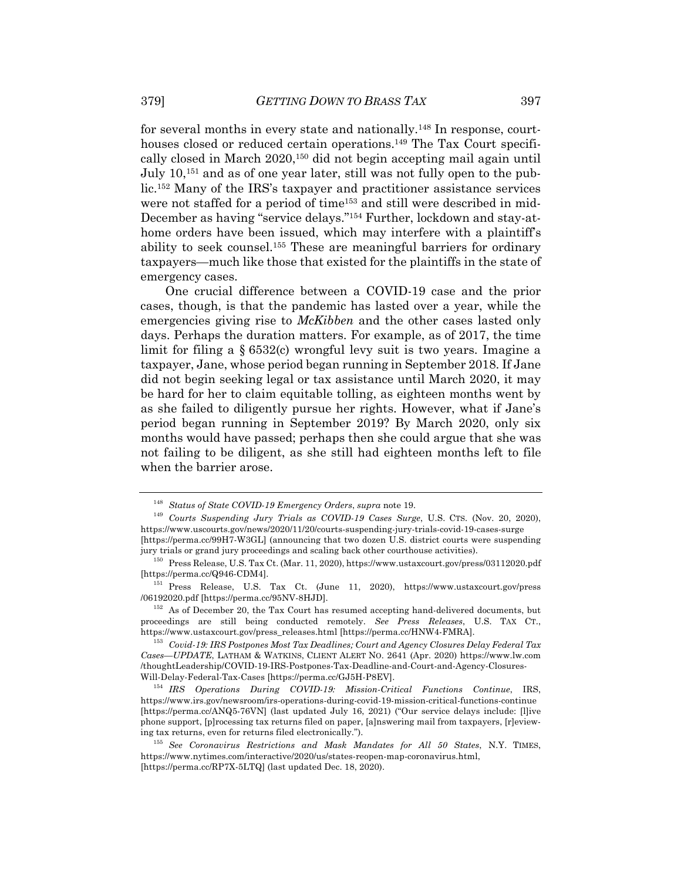for several months in every state and nationally.148 In response, courthouses closed or reduced certain operations.<sup>149</sup> The Tax Court specifically closed in March 2020,150 did not begin accepting mail again until July 10,151 and as of one year later, still was not fully open to the public.152 Many of the IRS's taxpayer and practitioner assistance services were not staffed for a period of time153 and still were described in mid-December as having "service delays."154 Further, lockdown and stay-athome orders have been issued, which may interfere with a plaintiff's ability to seek counsel.155 These are meaningful barriers for ordinary taxpayers—much like those that existed for the plaintiffs in the state of emergency cases.

One crucial difference between a COVID-19 case and the prior cases, though, is that the pandemic has lasted over a year, while the emergencies giving rise to *McKibben* and the other cases lasted only days. Perhaps the duration matters. For example, as of 2017, the time limit for filing a § 6532(c) wrongful levy suit is two years. Imagine a taxpayer, Jane, whose period began running in September 2018. If Jane did not begin seeking legal or tax assistance until March 2020, it may be hard for her to claim equitable tolling, as eighteen months went by as she failed to diligently pursue her rights. However, what if Jane's period began running in September 2019? By March 2020, only six months would have passed; perhaps then she could argue that she was not failing to be diligent, as she still had eighteen months left to file when the barrier arose.

<sup>148</sup> *Status of State COVID-19 Emergency Orders*, *supra* note 19.

<sup>149</sup> *Courts Suspending Jury Trials as COVID-19 Cases Surge*, U.S. CTS. (Nov. 20, 2020), https://www.uscourts.gov/news/2020/11/20/courts-suspending-jury-trials-covid-19-cases-surge [https://perma.cc/99H7-W3GL] (announcing that two dozen U.S. district courts were suspending jury trials or grand jury proceedings and scaling back other courthouse activities).

<sup>150</sup> Press Release, U.S. Tax Ct. (Mar. 11, 2020), https://www.ustaxcourt.gov/press/03112020.pdf [https://perma.cc/Q946-CDM4].

<sup>151</sup> Press Release, U.S. Tax Ct. (June 11, 2020), https://www.ustaxcourt.gov/press /06192020.pdf [https://perma.cc/95NV-8HJD].

<sup>&</sup>lt;sup>152</sup> As of December 20, the Tax Court has resumed accepting hand-delivered documents, but proceedings are still being conducted remotely. *See Press Releases*, U.S. TAX CT., https://www.ustaxcourt.gov/press\_releases.html [https://perma.cc/HNW4-FMRA].

<sup>153</sup> *Covid-19: IRS Postpones Most Tax Deadlines; Court and Agency Closures Delay Federal Tax Cases—UPDATE*, LATHAM & WATKINS, CLIENT ALERT NO. 2641 (Apr. 2020) https://www.lw.com /thoughtLeadership/COVID-19-IRS-Postpones-Tax-Deadline-and-Court-and-Agency-Closures-Will-Delay-Federal-Tax-Cases [https://perma.cc/GJ5H-P8EV].

<sup>154</sup> *IRS Operations During COVID-19: Mission-Critical Functions Continue*, IRS, https://www.irs.gov/newsroom/irs-operations-during-covid-19-mission-critical-functions-continue [https://perma.cc/ANQ5-76VN] (last updated July 16, 2021) ("Our service delays include: [l]ive phone support, [p]rocessing tax returns filed on paper, [a]nswering mail from taxpayers, [r]eviewing tax returns, even for returns filed electronically.").

<sup>155</sup> *See Coronavirus Restrictions and Mask Mandates for All 50 States*, N.Y. TIMES, https://www.nytimes.com/interactive/2020/us/states-reopen-map-coronavirus.html, [https://perma.cc/RP7X-5LTQ] (last updated Dec. 18, 2020).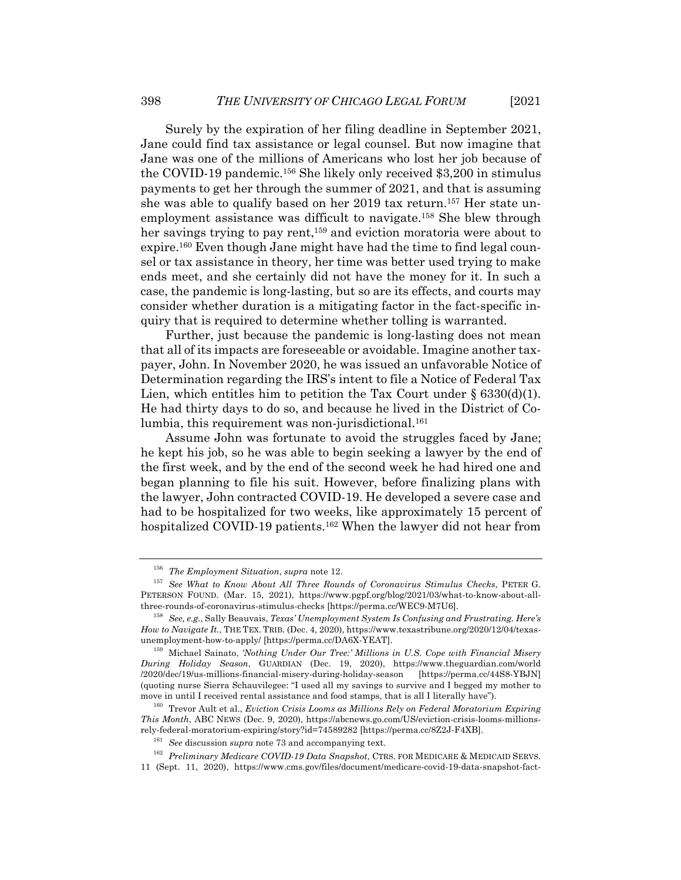Surely by the expiration of her filing deadline in September 2021, Jane could find tax assistance or legal counsel. But now imagine that Jane was one of the millions of Americans who lost her job because of the COVID-19 pandemic.156 She likely only received \$3,200 in stimulus payments to get her through the summer of 2021, and that is assuming she was able to qualify based on her 2019 tax return.157 Her state unemployment assistance was difficult to navigate.158 She blew through her savings trying to pay rent,<sup>159</sup> and eviction moratoria were about to expire.160 Even though Jane might have had the time to find legal counsel or tax assistance in theory, her time was better used trying to make ends meet, and she certainly did not have the money for it. In such a case, the pandemic is long-lasting, but so are its effects, and courts may consider whether duration is a mitigating factor in the fact-specific inquiry that is required to determine whether tolling is warranted.

Further, just because the pandemic is long-lasting does not mean that all of its impacts are foreseeable or avoidable. Imagine another taxpayer, John. In November 2020, he was issued an unfavorable Notice of Determination regarding the IRS's intent to file a Notice of Federal Tax Lien, which entitles him to petition the Tax Court under  $\S 6330(d)(1)$ . He had thirty days to do so, and because he lived in the District of Columbia, this requirement was non-jurisdictional.<sup>161</sup>

Assume John was fortunate to avoid the struggles faced by Jane; he kept his job, so he was able to begin seeking a lawyer by the end of the first week, and by the end of the second week he had hired one and began planning to file his suit. However, before finalizing plans with the lawyer, John contracted COVID-19. He developed a severe case and had to be hospitalized for two weeks, like approximately 15 percent of hospitalized COVID-19 patients.162 When the lawyer did not hear from

<sup>156</sup> *The Employment Situation*, *supra* note 12.

<sup>157</sup> *See What to Know About All Three Rounds of Coronavirus Stimulus Checks*, PETER G. PETERSON FOUND. (Mar. 15, 2021), https://www.pgpf.org/blog/2021/03/what-to-know-about-allthree-rounds-of-coronavirus-stimulus-checks [https://perma.cc/WEC9-M7U6].

<sup>158</sup> *See, e.g.*, Sally Beauvais, *Texas' Unemployment System Is Confusing and Frustrating. Here's How to Navigate It.*, THE TEX. TRIB. (Dec. 4, 2020), https://www.texastribune.org/2020/12/04/texasunemployment-how-to-apply/ [https://perma.cc/DA6X-YEAT].

<sup>159</sup> Michael Sainato, *'Nothing Under Our Tree:' Millions in U.S. Cope with Financial Misery During Holiday Season*, GUARDIAN (Dec. 19, 2020), https://www.theguardian.com/world /2020/dec/19/us-millions-financial-misery-during-holiday-season [https://perma.cc/44S8-YBJN] (quoting nurse Sierra Schauvilegee: "I used all my savings to survive and I begged my mother to move in until I received rental assistance and food stamps, that is all I literally have").

<sup>160</sup> Trevor Ault et al., *Eviction Crisis Looms as Millions Rely on Federal Moratorium Expiring This Month*, ABC NEWS (Dec. 9, 2020), https://abcnews.go.com/US/eviction-crisis-looms-millionsrely-federal-moratorium-expiring/story?id=74589282 [https://perma.cc/8Z2J-F4XB].

<sup>161</sup> *See* discussion *supra* note 73 and accompanying text.

<sup>162</sup> *Preliminary Medicare COVID-19 Data Snapshot*, CTRS. FOR MEDICARE & MEDICAID SERVS. 11 (Sept. 11, 2020), https://www.cms.gov/files/document/medicare-covid-19-data-snapshot-fact-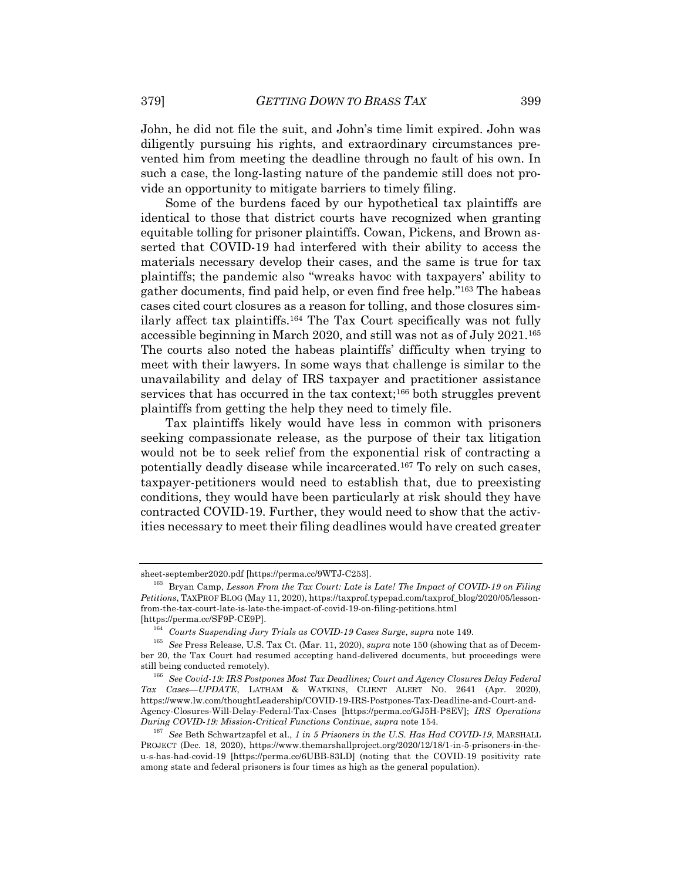John, he did not file the suit, and John's time limit expired. John was diligently pursuing his rights, and extraordinary circumstances prevented him from meeting the deadline through no fault of his own. In such a case, the long-lasting nature of the pandemic still does not provide an opportunity to mitigate barriers to timely filing.

Some of the burdens faced by our hypothetical tax plaintiffs are identical to those that district courts have recognized when granting equitable tolling for prisoner plaintiffs. Cowan, Pickens, and Brown asserted that COVID-19 had interfered with their ability to access the materials necessary develop their cases, and the same is true for tax plaintiffs; the pandemic also "wreaks havoc with taxpayers' ability to gather documents, find paid help, or even find free help."163 The habeas cases cited court closures as a reason for tolling, and those closures similarly affect tax plaintiffs.164 The Tax Court specifically was not fully accessible beginning in March 2020, and still was not as of July 2021.165 The courts also noted the habeas plaintiffs' difficulty when trying to meet with their lawyers. In some ways that challenge is similar to the unavailability and delay of IRS taxpayer and practitioner assistance services that has occurred in the tax context;<sup>166</sup> both struggles prevent plaintiffs from getting the help they need to timely file.

Tax plaintiffs likely would have less in common with prisoners seeking compassionate release, as the purpose of their tax litigation would not be to seek relief from the exponential risk of contracting a potentially deadly disease while incarcerated.167 To rely on such cases, taxpayer-petitioners would need to establish that, due to preexisting conditions, they would have been particularly at risk should they have contracted COVID-19. Further, they would need to show that the activities necessary to meet their filing deadlines would have created greater

sheet-september2020.pdf [https://perma.cc/9WTJ-C253].

<sup>163</sup> Bryan Camp, *Lesson From the Tax Court: Late is Late! The Impact of COVID-19 on Filing Petitions*, TAXPROF BLOG (May 11, 2020), https://taxprof.typepad.com/taxprof\_blog/2020/05/lessonfrom-the-tax-court-late-is-late-the-impact-of-covid-19-on-filing-petitions.html [https://perma.cc/SF9P-CE9P].

<sup>164</sup> *Courts Suspending Jury Trials as COVID-19 Cases Surge*, *supra* note 149.

<sup>165</sup> *See* Press Release, U.S. Tax Ct. (Mar. 11, 2020), *supra* note 150 (showing that as of December 20, the Tax Court had resumed accepting hand-delivered documents, but proceedings were still being conducted remotely).

<sup>166</sup> *See Covid-19: IRS Postpones Most Tax Deadlines; Court and Agency Closures Delay Federal Tax Cases—UPDATE*, LATHAM & WATKINS, CLIENT ALERT NO. 2641 (Apr. 2020), https://www.lw.com/thoughtLeadership/COVID-19-IRS-Postpones-Tax-Deadline-and-Court-and-Agency-Closures-Will-Delay-Federal-Tax-Cases [https://perma.cc/GJ5H-P8EV]; *IRS Operations During COVID-19: Mission-Critical Functions Continue*, *supra* note 154.

<sup>167</sup> *See* Beth Schwartzapfel et al., *1 in 5 Prisoners in the U.S. Has Had COVID-19*, MARSHALL PROJECT (Dec. 18, 2020), https://www.themarshallproject.org/2020/12/18/1-in-5-prisoners-in-theu-s-has-had-covid-19 [https://perma.cc/6UBB-83LD] (noting that the COVID-19 positivity rate among state and federal prisoners is four times as high as the general population).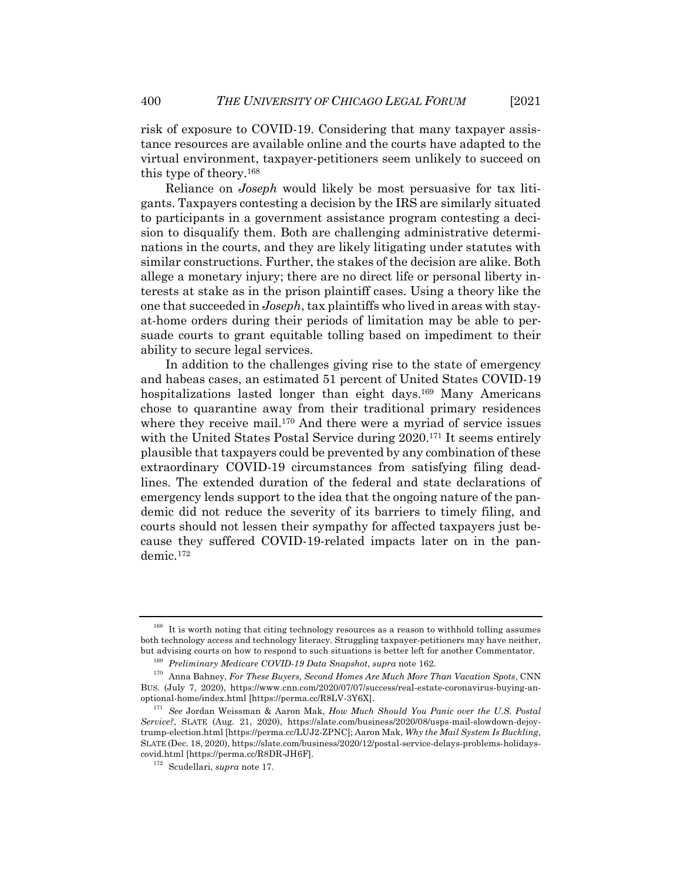risk of exposure to COVID-19. Considering that many taxpayer assistance resources are available online and the courts have adapted to the virtual environment, taxpayer-petitioners seem unlikely to succeed on this type of theory.168

Reliance on *Joseph* would likely be most persuasive for tax litigants. Taxpayers contesting a decision by the IRS are similarly situated to participants in a government assistance program contesting a decision to disqualify them. Both are challenging administrative determinations in the courts, and they are likely litigating under statutes with similar constructions. Further, the stakes of the decision are alike. Both allege a monetary injury; there are no direct life or personal liberty interests at stake as in the prison plaintiff cases. Using a theory like the one that succeeded in *Joseph*, tax plaintiffs who lived in areas with stayat-home orders during their periods of limitation may be able to persuade courts to grant equitable tolling based on impediment to their ability to secure legal services.

In addition to the challenges giving rise to the state of emergency and habeas cases, an estimated 51 percent of United States COVID-19 hospitalizations lasted longer than eight days.<sup>169</sup> Many Americans chose to quarantine away from their traditional primary residences where they receive mail.<sup>170</sup> And there were a myriad of service issues with the United States Postal Service during 2020.<sup>171</sup> It seems entirely plausible that taxpayers could be prevented by any combination of these extraordinary COVID-19 circumstances from satisfying filing deadlines. The extended duration of the federal and state declarations of emergency lends support to the idea that the ongoing nature of the pandemic did not reduce the severity of its barriers to timely filing, and courts should not lessen their sympathy for affected taxpayers just because they suffered COVID-19-related impacts later on in the pandemic.172

<sup>&</sup>lt;sup>168</sup> It is worth noting that citing technology resources as a reason to withhold tolling assumes both technology access and technology literacy. Struggling taxpayer-petitioners may have neither, but advising courts on how to respond to such situations is better left for another Commentator.

<sup>169</sup> *Preliminary Medicare COVID-19 Data Snapshot*, *supra* note 162.

<sup>170</sup> Anna Bahney, *For These Buyers, Second Homes Are Much More Than Vacation Spots*, CNN BUS. (July 7, 2020), https://www.cnn.com/2020/07/07/success/real-estate-coronavirus-buying-anoptional-home/index.html [https://perma.cc/R8LV-3Y6X].

<sup>171</sup> *See* Jordan Weissman & Aaron Mak, *How Much Should You Panic over the U.S. Postal Service?*, SLATE (Aug. 21, 2020), https://slate.com/business/2020/08/usps-mail-slowdown-dejoytrump-election.html [https://perma.cc/LUJ2-ZPNC]; Aaron Mak, *Why the Mail System Is Buckling*, SLATE (Dec. 18, 2020), https://slate.com/business/2020/12/postal-service-delays-problems-holidayscovid.html [https://perma.cc/R8DR-JH6F].

<sup>172</sup> Scudellari, *supra* note 17.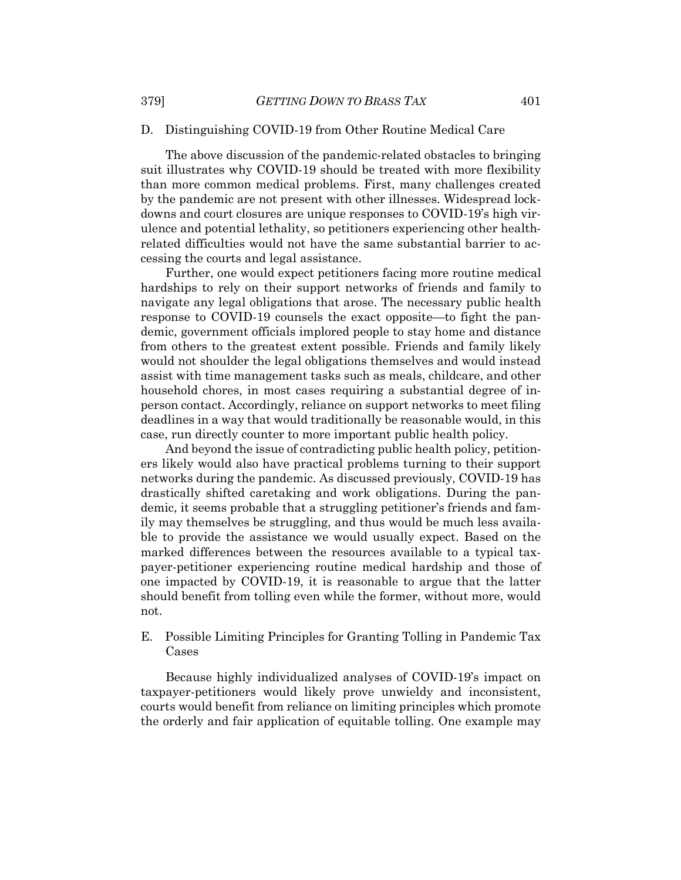#### D. Distinguishing COVID-19 from Other Routine Medical Care

The above discussion of the pandemic-related obstacles to bringing suit illustrates why COVID-19 should be treated with more flexibility than more common medical problems. First, many challenges created by the pandemic are not present with other illnesses. Widespread lockdowns and court closures are unique responses to COVID-19's high virulence and potential lethality, so petitioners experiencing other healthrelated difficulties would not have the same substantial barrier to accessing the courts and legal assistance.

Further, one would expect petitioners facing more routine medical hardships to rely on their support networks of friends and family to navigate any legal obligations that arose. The necessary public health response to COVID-19 counsels the exact opposite—to fight the pandemic, government officials implored people to stay home and distance from others to the greatest extent possible. Friends and family likely would not shoulder the legal obligations themselves and would instead assist with time management tasks such as meals, childcare, and other household chores, in most cases requiring a substantial degree of inperson contact. Accordingly, reliance on support networks to meet filing deadlines in a way that would traditionally be reasonable would, in this case, run directly counter to more important public health policy.

And beyond the issue of contradicting public health policy, petitioners likely would also have practical problems turning to their support networks during the pandemic. As discussed previously, COVID-19 has drastically shifted caretaking and work obligations. During the pandemic, it seems probable that a struggling petitioner's friends and family may themselves be struggling, and thus would be much less available to provide the assistance we would usually expect. Based on the marked differences between the resources available to a typical taxpayer-petitioner experiencing routine medical hardship and those of one impacted by COVID-19, it is reasonable to argue that the latter should benefit from tolling even while the former, without more, would not.

## E. Possible Limiting Principles for Granting Tolling in Pandemic Tax Cases

Because highly individualized analyses of COVID-19's impact on taxpayer-petitioners would likely prove unwieldy and inconsistent, courts would benefit from reliance on limiting principles which promote the orderly and fair application of equitable tolling. One example may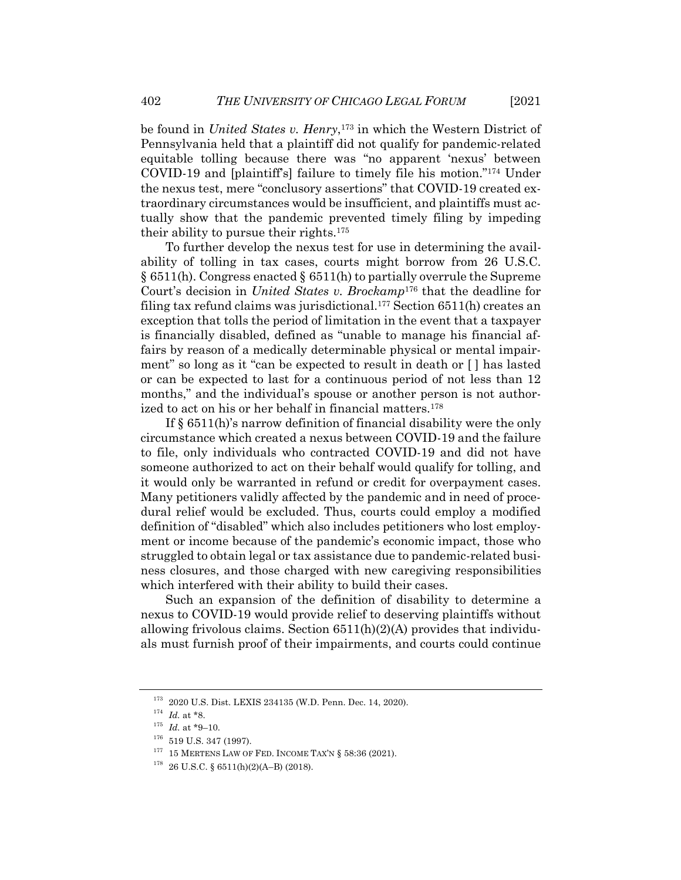be found in *United States v. Henry*,<sup>173</sup> in which the Western District of Pennsylvania held that a plaintiff did not qualify for pandemic-related equitable tolling because there was "no apparent 'nexus' between COVID-19 and [plaintiff's] failure to timely file his motion."174 Under the nexus test, mere "conclusory assertions" that COVID-19 created extraordinary circumstances would be insufficient, and plaintiffs must actually show that the pandemic prevented timely filing by impeding their ability to pursue their rights.175

To further develop the nexus test for use in determining the availability of tolling in tax cases, courts might borrow from 26 U.S.C. § 6511(h). Congress enacted § 6511(h) to partially overrule the Supreme Court's decision in *United States v. Brockamp*<sup>176</sup> that the deadline for filing tax refund claims was jurisdictional.177 Section 6511(h) creates an exception that tolls the period of limitation in the event that a taxpayer is financially disabled, defined as "unable to manage his financial affairs by reason of a medically determinable physical or mental impairment" so long as it "can be expected to result in death or [ ] has lasted or can be expected to last for a continuous period of not less than 12 months," and the individual's spouse or another person is not authorized to act on his or her behalf in financial matters.<sup>178</sup>

If § 6511(h)'s narrow definition of financial disability were the only circumstance which created a nexus between COVID-19 and the failure to file, only individuals who contracted COVID-19 and did not have someone authorized to act on their behalf would qualify for tolling, and it would only be warranted in refund or credit for overpayment cases. Many petitioners validly affected by the pandemic and in need of procedural relief would be excluded. Thus, courts could employ a modified definition of "disabled" which also includes petitioners who lost employment or income because of the pandemic's economic impact, those who struggled to obtain legal or tax assistance due to pandemic-related business closures, and those charged with new caregiving responsibilities which interfered with their ability to build their cases.

Such an expansion of the definition of disability to determine a nexus to COVID-19 would provide relief to deserving plaintiffs without allowing frivolous claims. Section 6511(h)(2)(A) provides that individuals must furnish proof of their impairments, and courts could continue

<sup>173</sup> 2020 U.S. Dist. LEXIS 234135 (W.D. Penn. Dec. 14, 2020).

 $174$  *Id.* at \*8.

 $^{175}$   $\,$   $\!d.$  at \*9–10.

 $^{176}\,$  519 U.S. 347 (1997).

 $^{177}$  15 MERTENS LAW OF FED. INCOME TAX'N § 58:36 (2021).

 $178$  26 U.S.C. § 6511(h)(2)(A-B) (2018).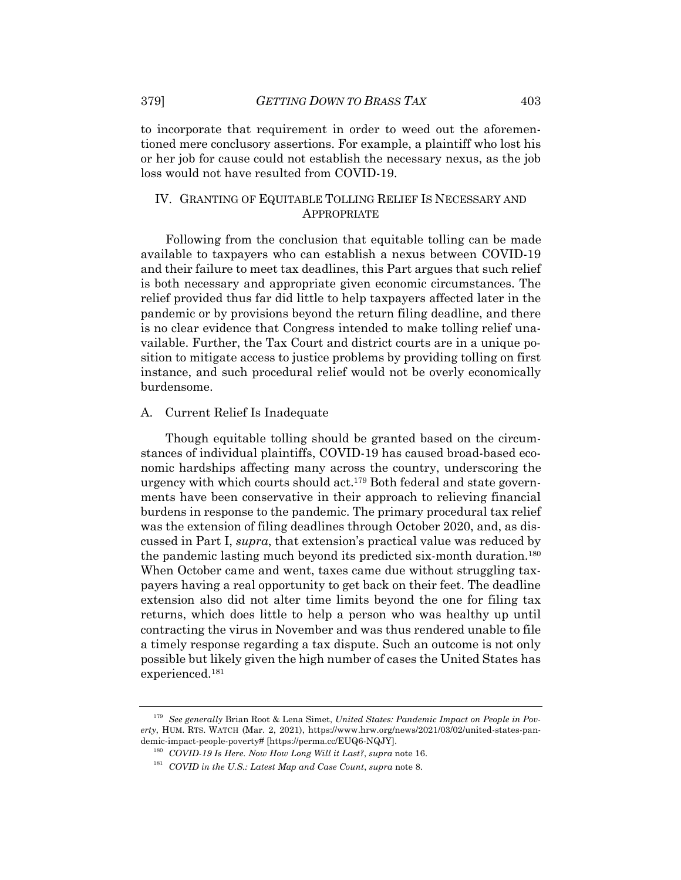to incorporate that requirement in order to weed out the aforementioned mere conclusory assertions. For example, a plaintiff who lost his or her job for cause could not establish the necessary nexus, as the job loss would not have resulted from COVID-19.

## IV. GRANTING OF EQUITABLE TOLLING RELIEF IS NECESSARY AND APPROPRIATE

Following from the conclusion that equitable tolling can be made available to taxpayers who can establish a nexus between COVID-19 and their failure to meet tax deadlines, this Part argues that such relief is both necessary and appropriate given economic circumstances. The relief provided thus far did little to help taxpayers affected later in the pandemic or by provisions beyond the return filing deadline, and there is no clear evidence that Congress intended to make tolling relief unavailable. Further, the Tax Court and district courts are in a unique position to mitigate access to justice problems by providing tolling on first instance, and such procedural relief would not be overly economically burdensome.

#### A. Current Relief Is Inadequate

Though equitable tolling should be granted based on the circumstances of individual plaintiffs, COVID-19 has caused broad-based economic hardships affecting many across the country, underscoring the urgency with which courts should act.179 Both federal and state governments have been conservative in their approach to relieving financial burdens in response to the pandemic. The primary procedural tax relief was the extension of filing deadlines through October 2020, and, as discussed in Part I, *supra*, that extension's practical value was reduced by the pandemic lasting much beyond its predicted six-month duration.180 When October came and went, taxes came due without struggling taxpayers having a real opportunity to get back on their feet. The deadline extension also did not alter time limits beyond the one for filing tax returns, which does little to help a person who was healthy up until contracting the virus in November and was thus rendered unable to file a timely response regarding a tax dispute. Such an outcome is not only possible but likely given the high number of cases the United States has experienced.181

<sup>179</sup> *See generally* Brian Root & Lena Simet, *United States: Pandemic Impact on People in Poverty*, HUM. RTS. WATCH (Mar. 2, 2021), https://www.hrw.org/news/2021/03/02/united-states-pandemic-impact-people-poverty# [https://perma.cc/EUQ6-NQJY].

<sup>180</sup> *COVID-19 Is Here. Now How Long Will it Last?*, *supra* note 16.

<sup>181</sup> *COVID in the U.S.: Latest Map and Case Count*, *supra* note 8.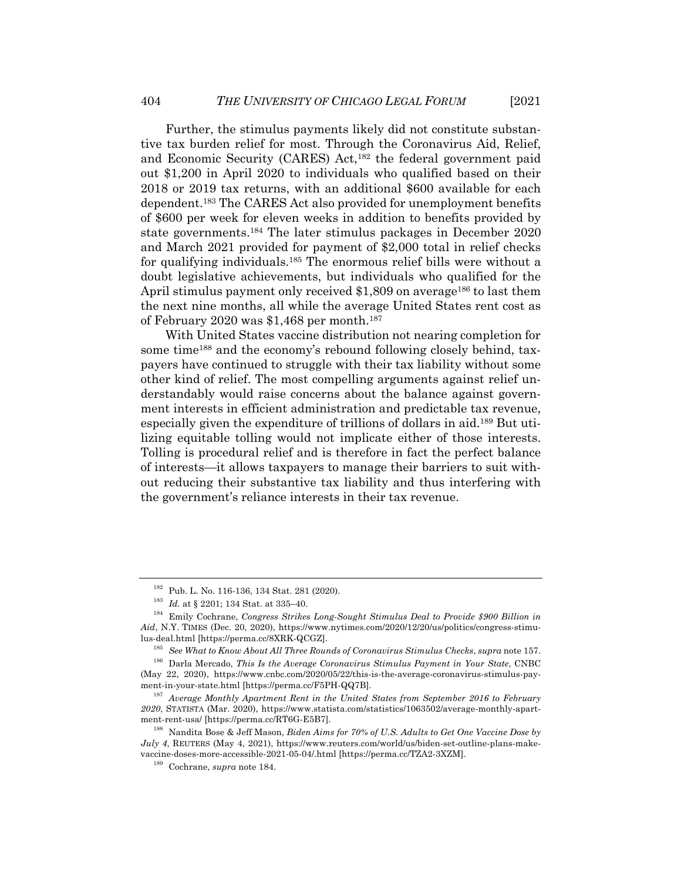Further, the stimulus payments likely did not constitute substantive tax burden relief for most. Through the Coronavirus Aid, Relief, and Economic Security (CARES) Act,<sup>182</sup> the federal government paid out \$1,200 in April 2020 to individuals who qualified based on their 2018 or 2019 tax returns, with an additional \$600 available for each dependent.183 The CARES Act also provided for unemployment benefits of \$600 per week for eleven weeks in addition to benefits provided by state governments.184 The later stimulus packages in December 2020 and March 2021 provided for payment of \$2,000 total in relief checks for qualifying individuals.185 The enormous relief bills were without a doubt legislative achievements, but individuals who qualified for the April stimulus payment only received \$1,809 on average<sup>186</sup> to last them the next nine months, all while the average United States rent cost as of February 2020 was \$1,468 per month.187

With United States vaccine distribution not nearing completion for some time<sup>188</sup> and the economy's rebound following closely behind, taxpayers have continued to struggle with their tax liability without some other kind of relief. The most compelling arguments against relief understandably would raise concerns about the balance against government interests in efficient administration and predictable tax revenue, especially given the expenditure of trillions of dollars in aid.189 But utilizing equitable tolling would not implicate either of those interests. Tolling is procedural relief and is therefore in fact the perfect balance of interests—it allows taxpayers to manage their barriers to suit without reducing their substantive tax liability and thus interfering with the government's reliance interests in their tax revenue.

<sup>182</sup> Pub. L. No. 116-136, 134 Stat. 281 (2020).

<sup>183</sup> *Id.* at § 2201; 134 Stat. at 335–40.

<sup>184</sup> Emily Cochrane, *Congress Strikes Long-Sought Stimulus Deal to Provide \$900 Billion in Aid*, N.Y. TIMES (Dec. 20, 2020), https://www.nytimes.com/2020/12/20/us/politics/congress-stimulus-deal.html [https://perma.cc/8XRK-QCGZ].

<sup>185</sup> *See What to Know About All Three Rounds of Coronavirus Stimulus Checks*, *supra* note 157.

<sup>186</sup> Darla Mercado, *This Is the Average Coronavirus Stimulus Payment in Your State*, CNBC (May 22, 2020), https://www.cnbc.com/2020/05/22/this-is-the-average-coronavirus-stimulus-payment-in-your-state.html [https://perma.cc/F5PH-QQ7B].

<sup>187</sup> *Average Monthly Apartment Rent in the United States from September 2016 to February 2020*, STATISTA (Mar. 2020), https://www.statista.com/statistics/1063502/average-monthly-apartment-rent-usa/ [https://perma.cc/RT6G-E5B7].

<sup>188</sup> Nandita Bose & Jeff Mason, *Biden Aims for 70% of U.S. Adults to Get One Vaccine Dose by July 4*, REUTERS (May 4, 2021), https://www.reuters.com/world/us/biden-set-outline-plans-makevaccine-doses-more-accessible-2021-05-04/.html [https://perma.cc/TZA2-3XZM].

<sup>189</sup> Cochrane, *supra* note 184.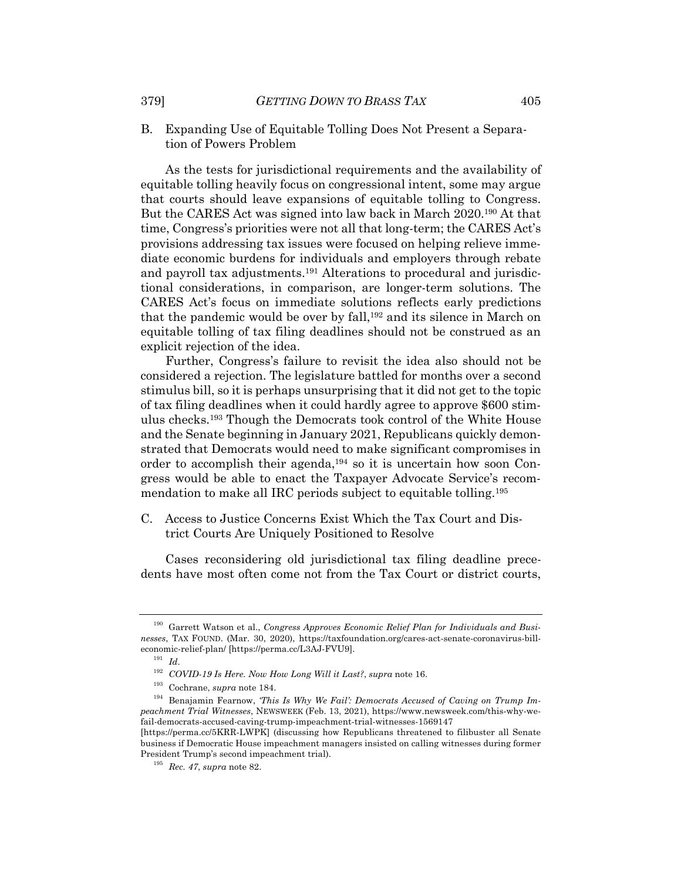B. Expanding Use of Equitable Tolling Does Not Present a Separation of Powers Problem

As the tests for jurisdictional requirements and the availability of equitable tolling heavily focus on congressional intent, some may argue that courts should leave expansions of equitable tolling to Congress. But the CARES Act was signed into law back in March 2020.190 At that time, Congress's priorities were not all that long-term; the CARES Act's provisions addressing tax issues were focused on helping relieve immediate economic burdens for individuals and employers through rebate and payroll tax adjustments.191 Alterations to procedural and jurisdictional considerations, in comparison, are longer-term solutions. The CARES Act's focus on immediate solutions reflects early predictions that the pandemic would be over by fall,<sup>192</sup> and its silence in March on equitable tolling of tax filing deadlines should not be construed as an explicit rejection of the idea.

Further, Congress's failure to revisit the idea also should not be considered a rejection. The legislature battled for months over a second stimulus bill, so it is perhaps unsurprising that it did not get to the topic of tax filing deadlines when it could hardly agree to approve \$600 stimulus checks.193 Though the Democrats took control of the White House and the Senate beginning in January 2021, Republicans quickly demonstrated that Democrats would need to make significant compromises in order to accomplish their agenda,194 so it is uncertain how soon Congress would be able to enact the Taxpayer Advocate Service's recommendation to make all IRC periods subject to equitable tolling.195

C. Access to Justice Concerns Exist Which the Tax Court and District Courts Are Uniquely Positioned to Resolve

Cases reconsidering old jurisdictional tax filing deadline precedents have most often come not from the Tax Court or district courts,

<sup>190</sup> Garrett Watson et al., *Congress Approves Economic Relief Plan for Individuals and Businesses*, TAX FOUND. (Mar. 30, 2020), https://taxfoundation.org/cares-act-senate-coronavirus-billeconomic-relief-plan/ [https://perma.cc/L3AJ-FVU9].

<sup>191</sup> *Id*.

<sup>192</sup> *COVID-19 Is Here. Now How Long Will it Last?*, *supra* note 16.

<sup>193</sup> Cochrane, *supra* note 184.

<sup>&</sup>lt;sup>194</sup> Benajamin Fearnow, *This Is Why We Fail': Democrats Accused of Caving on Trump Impeachment Trial Witnesses*, NEWSWEEK (Feb. 13, 2021), https://www.newsweek.com/this-why-wefail-democrats-accused-caving-trump-impeachment-trial-witnesses-1569147

<sup>[</sup>https://perma.cc/5KRR-LWPK] (discussing how Republicans threatened to filibuster all Senate business if Democratic House impeachment managers insisted on calling witnesses during former President Trump's second impeachment trial).

<sup>195</sup> *Rec. 47*, *supra* note 82.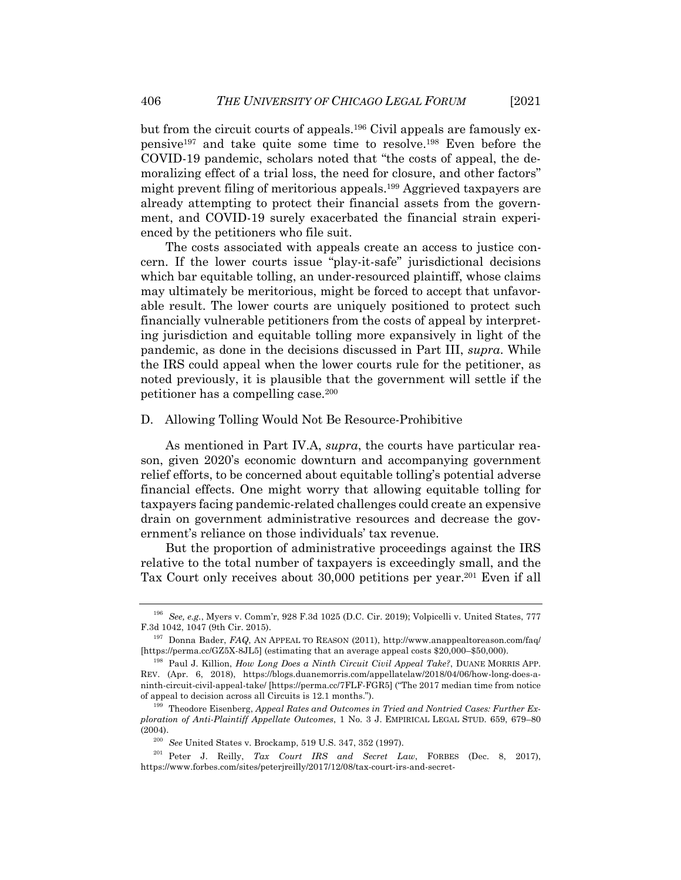but from the circuit courts of appeals.196 Civil appeals are famously expensive197 and take quite some time to resolve.198 Even before the COVID-19 pandemic, scholars noted that "the costs of appeal, the demoralizing effect of a trial loss, the need for closure, and other factors" might prevent filing of meritorious appeals.199 Aggrieved taxpayers are already attempting to protect their financial assets from the government, and COVID-19 surely exacerbated the financial strain experienced by the petitioners who file suit.

The costs associated with appeals create an access to justice concern. If the lower courts issue "play-it-safe" jurisdictional decisions which bar equitable tolling, an under-resourced plaintiff, whose claims may ultimately be meritorious, might be forced to accept that unfavorable result. The lower courts are uniquely positioned to protect such financially vulnerable petitioners from the costs of appeal by interpreting jurisdiction and equitable tolling more expansively in light of the pandemic, as done in the decisions discussed in Part III, *supra*. While the IRS could appeal when the lower courts rule for the petitioner, as noted previously, it is plausible that the government will settle if the petitioner has a compelling case.200

#### D. Allowing Tolling Would Not Be Resource-Prohibitive

As mentioned in Part IV.A, *supra*, the courts have particular reason, given 2020's economic downturn and accompanying government relief efforts, to be concerned about equitable tolling's potential adverse financial effects. One might worry that allowing equitable tolling for taxpayers facing pandemic-related challenges could create an expensive drain on government administrative resources and decrease the government's reliance on those individuals' tax revenue.

But the proportion of administrative proceedings against the IRS relative to the total number of taxpayers is exceedingly small, and the Tax Court only receives about 30,000 petitions per year.201 Even if all

<sup>196</sup> *See, e.g.*, Myers v. Comm'r, 928 F.3d 1025 (D.C. Cir. 2019); Volpicelli v. United States, 777 F.3d 1042, 1047 (9th Cir. 2015).

<sup>197</sup> Donna Bader, *FAQ*, AN APPEAL TO REASON (2011), http://www.anappealtoreason.com/faq/ [https://perma.cc/GZ5X-8JL5] (estimating that an average appeal costs \$20,000–\$50,000).

<sup>198</sup> Paul J. Killion, *How Long Does a Ninth Circuit Civil Appeal Take?*, DUANE MORRIS APP. REV. (Apr. 6, 2018), https://blogs.duanemorris.com/appellatelaw/2018/04/06/how-long-does-aninth-circuit-civil-appeal-take/ [https://perma.cc/7FLF-FGR5] ("The 2017 median time from notice of appeal to decision across all Circuits is 12.1 months.").

<sup>199</sup> Theodore Eisenberg, *Appeal Rates and Outcomes in Tried and Nontried Cases: Further Exploration of Anti-Plaintiff Appellate Outcomes*, 1 No. 3 J. EMPIRICAL LEGAL STUD. 659, 679–80 (2004).

<sup>200</sup> *See* United States v. Brockamp, 519 U.S. 347, 352 (1997).

<sup>201</sup> Peter J. Reilly, *Tax Court IRS and Secret Law*, FORBES (Dec. 8, 2017), https://www.forbes.com/sites/peterjreilly/2017/12/08/tax-court-irs-and-secret-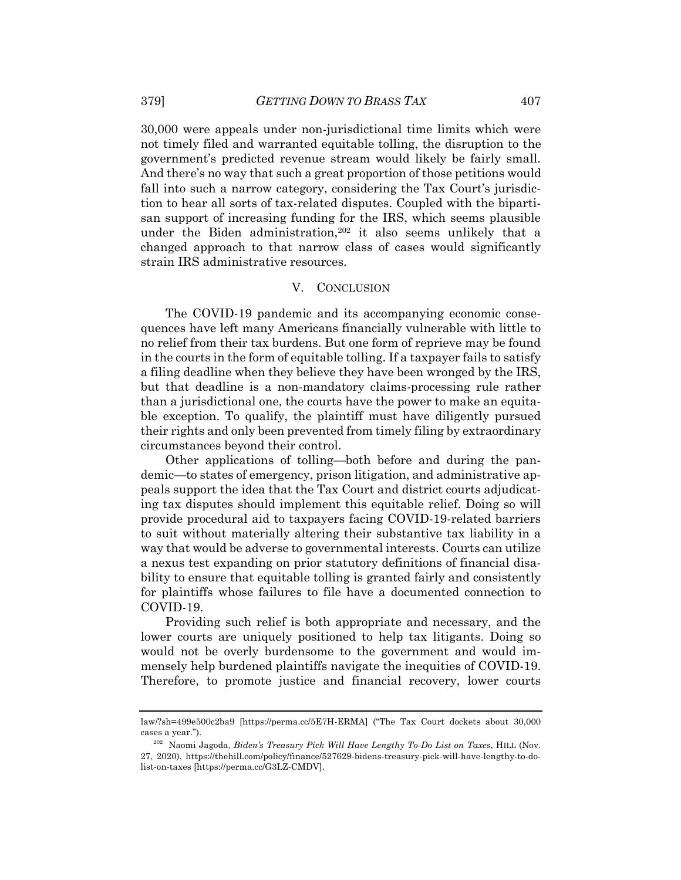30,000 were appeals under non-jurisdictional time limits which were not timely filed and warranted equitable tolling, the disruption to the government's predicted revenue stream would likely be fairly small. And there's no way that such a great proportion of those petitions would fall into such a narrow category, considering the Tax Court's jurisdiction to hear all sorts of tax-related disputes. Coupled with the bipartisan support of increasing funding for the IRS, which seems plausible under the Biden administration,<sup>202</sup> it also seems unlikely that a changed approach to that narrow class of cases would significantly strain IRS administrative resources.

#### V. CONCLUSION

The COVID-19 pandemic and its accompanying economic consequences have left many Americans financially vulnerable with little to no relief from their tax burdens. But one form of reprieve may be found in the courts in the form of equitable tolling. If a taxpayer fails to satisfy a filing deadline when they believe they have been wronged by the IRS, but that deadline is a non-mandatory claims-processing rule rather than a jurisdictional one, the courts have the power to make an equitable exception. To qualify, the plaintiff must have diligently pursued their rights and only been prevented from timely filing by extraordinary circumstances beyond their control.

Other applications of tolling—both before and during the pandemic—to states of emergency, prison litigation, and administrative appeals support the idea that the Tax Court and district courts adjudicating tax disputes should implement this equitable relief. Doing so will provide procedural aid to taxpayers facing COVID-19-related barriers to suit without materially altering their substantive tax liability in a way that would be adverse to governmental interests. Courts can utilize a nexus test expanding on prior statutory definitions of financial disability to ensure that equitable tolling is granted fairly and consistently for plaintiffs whose failures to file have a documented connection to COVID-19.

Providing such relief is both appropriate and necessary, and the lower courts are uniquely positioned to help tax litigants. Doing so would not be overly burdensome to the government and would immensely help burdened plaintiffs navigate the inequities of COVID-19. Therefore, to promote justice and financial recovery, lower courts

law/?sh=499e500c2ba9 [https://perma.cc/5E7H-ERMA] ("The Tax Court dockets about 30,000 cases a year.").

<sup>202</sup> Naomi Jagoda, *Biden's Treasury Pick Will Have Lengthy To-Do List on Taxes*, HILL (Nov. 27, 2020), https://thehill.com/policy/finance/527629-bidens-treasury-pick-will-have-lengthy-to-dolist-on-taxes [https://perma.cc/G3LZ-CMDV].